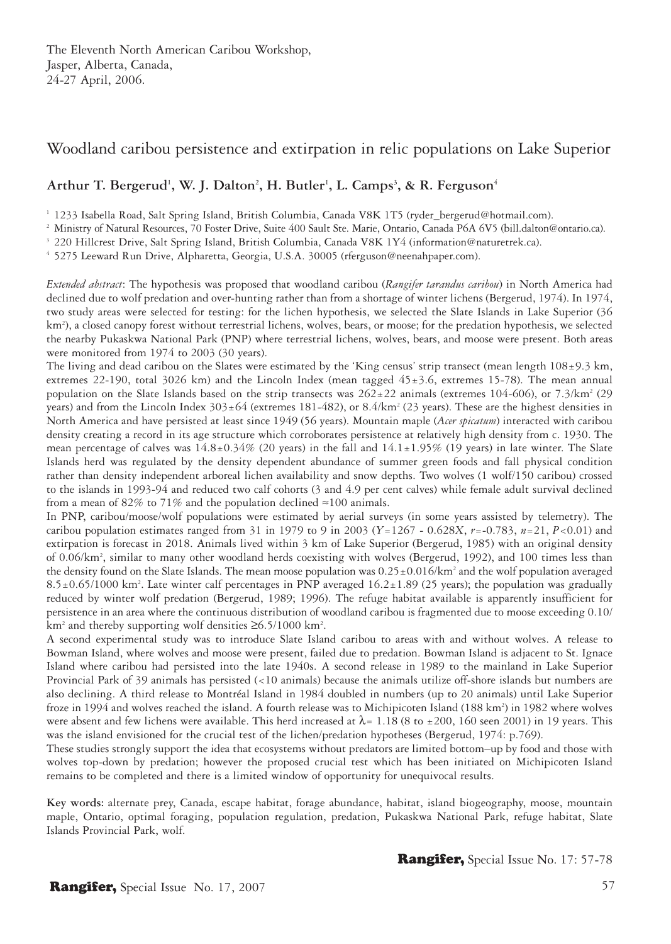# Woodland caribou persistence and extirpation in relic populations on Lake Superior

# Arthur T. Bergerud<sup>1</sup>, W. J. Dalton<sup>2</sup>, H. Butler<sup>1</sup>, L. Camps<sup>3</sup>, & R. Ferguson<sup>4</sup>

<sup>1</sup> 1233 Isabella Road, Salt Spring Island, British Columbia, Canada V8K 1T5 (ryder\_bergerud@hotmail.com).

<sup>2</sup> Ministry of Natural Resources, 70 Foster Drive, Suite 400 Sault Ste. Marie, Ontario, Canada P6A 6V5 (bill.dalton@ontario.ca).

<sup>3</sup> 220 Hillcrest Drive, Salt Spring Island, British Columbia, Canada V8K 1Y4 (information@naturetrek.ca).

4 5275 Leeward Run Drive, Alpharetta, Georgia, U.S.A. 30005 (rferguson@neenahpaper.com).

*Extended abstract*: The hypothesis was proposed that woodland caribou (*Rangifer tarandus caribou*) in North America had declined due to wolf predation and over-hunting rather than from a shortage of winter lichens (Bergerud, 1974). In 1974, two study areas were selected for testing: for the lichen hypothesis, we selected the Slate Islands in Lake Superior (36 km2 ), a closed canopy forest without terrestrial lichens, wolves, bears, or moose; for the predation hypothesis, we selected the nearby Pukaskwa National Park (PNP) where terrestrial lichens, wolves, bears, and moose were present. Both areas were monitored from 1974 to 2003 (30 years).

The living and dead caribou on the Slates were estimated by the 'King census' strip transect (mean length 108±9.3 km, extremes 22-190, total 3026 km) and the Lincoln Index (mean tagged  $45\pm3.6$ , extremes 15-78). The mean annual population on the Slate Islands based on the strip transects was  $262 \pm 22$  animals (extremes 104-606), or 7.3/km<sup>2</sup> (29) years) and from the Lincoln Index  $303 \pm 64$  (extremes 181-482), or  $8.4/\text{km}^2$  (23 years). These are the highest densities in North America and have persisted at least since 1949 (56 years). Mountain maple (*Acer spicatum*) interacted with caribou density creating a record in its age structure which corroborates persistence at relatively high density from c. 1930. The mean percentage of calves was  $14.8\pm0.34\%$  (20 years) in the fall and  $14.1\pm1.95\%$  (19 years) in late winter. The Slate Islands herd was regulated by the density dependent abundance of summer green foods and fall physical condition rather than density independent arboreal lichen availability and snow depths. Two wolves (1 wolf/150 caribou) crossed to the islands in 1993-94 and reduced two calf cohorts (3 and 4.9 per cent calves) while female adult survival declined from a mean of 82% to 71% and the population declined  $\approx$ 100 animals.

In PNP, caribou/moose/wolf populations were estimated by aerial surveys (in some years assisted by telemetry). The caribou population estimates ranged from 31 in 1979 to 9 in 2003 (*Y*=1267 - 0.628*X*, *r*=-0.783, *n*=21, *P*<0.01) and extirpation is forecast in 2018. Animals lived within 3 km of Lake Superior (Bergerud, 1985) with an original density of 0.06/km2 , similar to many other woodland herds coexisting with wolves (Bergerud, 1992), and 100 times less than the density found on the Slate Islands. The mean moose population was  $0.25 \pm 0.016/km^2$  and the wolf population averaged 8.5±0.65/1000 km2 . Late winter calf percentages in PNP averaged 16.2±1.89 (25 years); the population was gradually reduced by winter wolf predation (Bergerud, 1989; 1996). The refuge habitat available is apparently insufficient for persistence in an area where the continuous distribution of woodland caribou is fragmented due to moose exceeding 0.10/ km<sup>2</sup> and thereby supporting wolf densities ≥6.5/1000 km<sup>2</sup>.

A second experimental study was to introduce Slate Island caribou to areas with and without wolves. A release to Bowman Island, where wolves and moose were present, failed due to predation. Bowman Island is adjacent to St. Ignace Island where caribou had persisted into the late 1940s. A second release in 1989 to the mainland in Lake Superior Provincial Park of 39 animals has persisted (<10 animals) because the animals utilize off-shore islands but numbers are also declining. A third release to Montréal Island in 1984 doubled in numbers (up to 20 animals) until Lake Superior froze in 1994 and wolves reached the island. A fourth release was to Michipicoten Island (188 km<sup>2</sup>) in 1982 where wolves were absent and few lichens were available. This herd increased at  $\lambda$ = 1.18 (8 to ±200, 160 seen 2001) in 19 years. This was the island envisioned for the crucial test of the lichen/predation hypotheses (Bergerud, 1974: p.769).

These studies strongly support the idea that ecosystems without predators are limited bottom–up by food and those with wolves top-down by predation; however the proposed crucial test which has been initiated on Michipicoten Island remains to be completed and there is a limited window of opportunity for unequivocal results.

**Key words:** alternate prey, Canada, escape habitat, forage abundance, habitat, island biogeography, moose, mountain maple, Ontario, optimal foraging, population regulation, predation, Pukaskwa National Park, refuge habitat, Slate Islands Provincial Park, wolf.

Rangifer, Special Issue No. 17: 57-78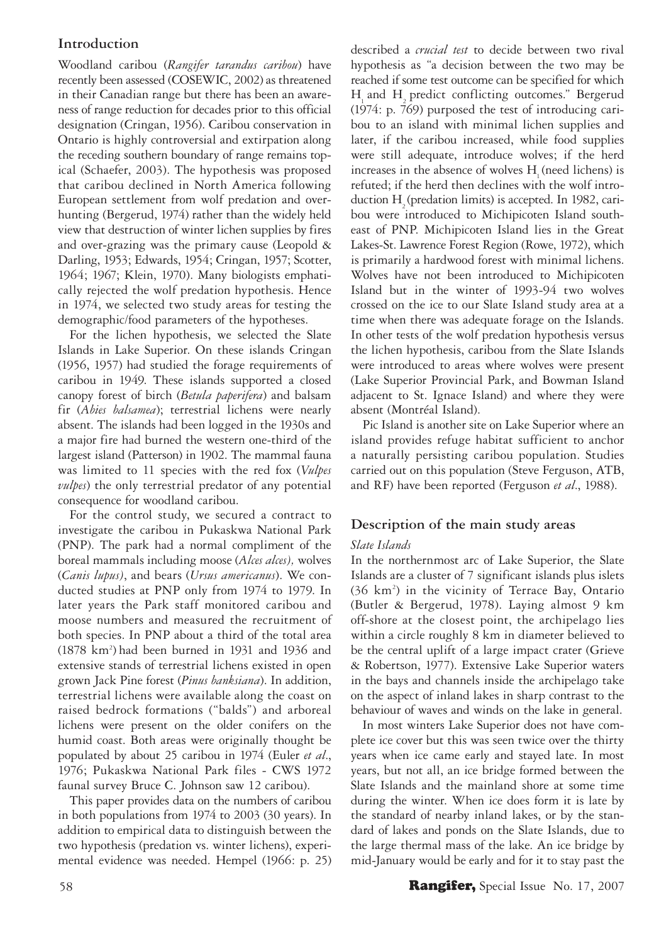# **Introduction**

Woodland caribou (*Rangifer tarandus caribou*) have recently been assessed (COSEWIC, 2002) as threatened in their Canadian range but there has been an awareness of range reduction for decades prior to this official designation (Cringan, 1956). Caribou conservation in Ontario is highly controversial and extirpation along the receding southern boundary of range remains topical (Schaefer, 2003). The hypothesis was proposed that caribou declined in North America following European settlement from wolf predation and overhunting (Bergerud, 1974) rather than the widely held view that destruction of winter lichen supplies by fires and over-grazing was the primary cause (Leopold & Darling, 1953; Edwards, 1954; Cringan, 1957; Scotter, 1964; 1967; Klein, 1970). Many biologists emphatically rejected the wolf predation hypothesis. Hence in 1974, we selected two study areas for testing the demographic/food parameters of the hypotheses.

For the lichen hypothesis, we selected the Slate Islands in Lake Superior. On these islands Cringan (1956, 1957) had studied the forage requirements of caribou in 1949. These islands supported a closed canopy forest of birch (*Betula paperifera*) and balsam fir (*Abies balsamea*); terrestrial lichens were nearly absent. The islands had been logged in the 1930s and a major fire had burned the western one-third of the largest island (Patterson) in 1902. The mammal fauna was limited to 11 species with the red fox (*Vulpes vulpes*) the only terrestrial predator of any potential consequence for woodland caribou.

For the control study, we secured a contract to investigate the caribou in Pukaskwa National Park (PNP). The park had a normal compliment of the boreal mammals including moose (*Alces alces),* wolves (*Canis lupus)*, and bears (*Ursus americanus*). We conducted studies at PNP only from 1974 to 1979. In later years the Park staff monitored caribou and moose numbers and measured the recruitment of both species. In PNP about a third of the total area (1878 km2 ) had been burned in 1931 and 1936 and extensive stands of terrestrial lichens existed in open grown Jack Pine forest (*Pinus banksiana*). In addition, terrestrial lichens were available along the coast on raised bedrock formations ("balds") and arboreal lichens were present on the older conifers on the humid coast. Both areas were originally thought be populated by about 25 caribou in 1974 (Euler *et al*., 1976; Pukaskwa National Park files - CWS 1972 faunal survey Bruce C. Johnson saw 12 caribou).

This paper provides data on the numbers of caribou in both populations from 1974 to 2003 (30 years). In addition to empirical data to distinguish between the two hypothesis (predation vs. winter lichens), experimental evidence was needed. Hempel (1966: p. 25) described a *crucial test* to decide between two rival hypothesis as "a decision between the two may be reached if some test outcome can be specified for which H and H predict conflicting outcomes." Bergerud (1974: p. 769) purposed the test of introducing caribou to an island with minimal lichen supplies and later, if the caribou increased, while food supplies were still adequate, introduce wolves; if the herd  $increases$  in the absence of wolves  $H$  (need lichens) is refuted; if the herd then declines with the wolf introduction H<sub>2</sub> (predation limits) is accepted. In 1982, caribou were introduced to Michipicoten Island southeast of PNP. Michipicoten Island lies in the Great Lakes-St. Lawrence Forest Region (Rowe, 1972), which is primarily a hardwood forest with minimal lichens. Wolves have not been introduced to Michipicoten Island but in the winter of 1993-94 two wolves crossed on the ice to our Slate Island study area at a time when there was adequate forage on the Islands. In other tests of the wolf predation hypothesis versus the lichen hypothesis, caribou from the Slate Islands were introduced to areas where wolves were present (Lake Superior Provincial Park, and Bowman Island adjacent to St. Ignace Island) and where they were absent (Montréal Island).

Pic Island is another site on Lake Superior where an island provides refuge habitat sufficient to anchor a naturally persisting caribou population. Studies carried out on this population (Steve Ferguson, ATB, and RF) have been reported (Ferguson *et al*., 1988).

## **Description of the main study areas**

## *Slate Islands*

In the northernmost arc of Lake Superior, the Slate Islands are a cluster of 7 significant islands plus islets (36 km2 ) in the vicinity of Terrace Bay, Ontario (Butler & Bergerud, 1978). Laying almost 9 km off-shore at the closest point, the archipelago lies within a circle roughly 8 km in diameter believed to be the central uplift of a large impact crater (Grieve & Robertson, 1977). Extensive Lake Superior waters in the bays and channels inside the archipelago take on the aspect of inland lakes in sharp contrast to the behaviour of waves and winds on the lake in general.

In most winters Lake Superior does not have complete ice cover but this was seen twice over the thirty years when ice came early and stayed late. In most years, but not all, an ice bridge formed between the Slate Islands and the mainland shore at some time during the winter. When ice does form it is late by the standard of nearby inland lakes, or by the standard of lakes and ponds on the Slate Islands, due to the large thermal mass of the lake. An ice bridge by mid-January would be early and for it to stay past the

## 58 **Rangifer,** Special Issue No. 17, 2007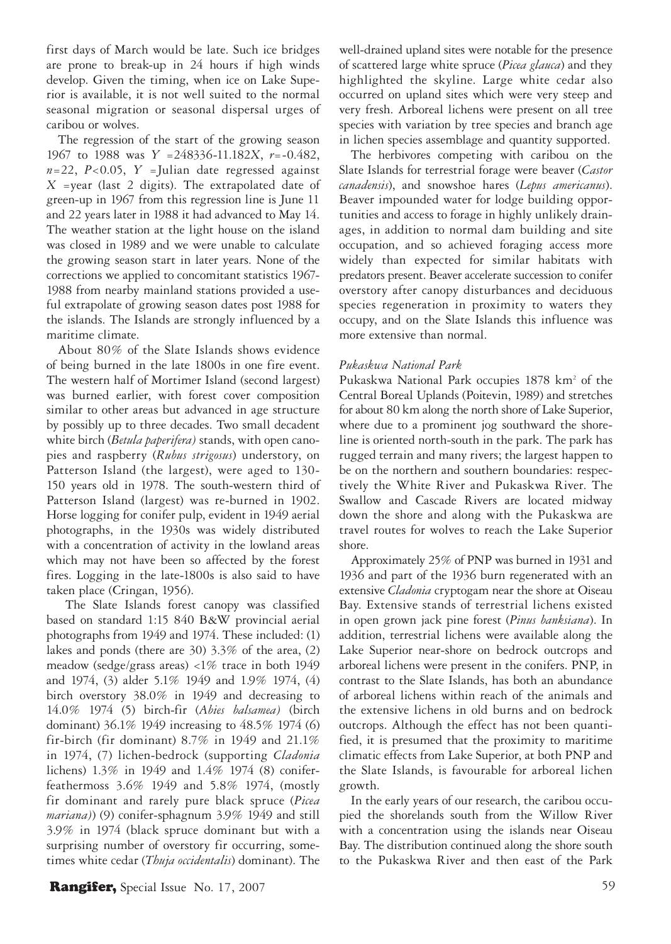first days of March would be late. Such ice bridges are prone to break-up in 24 hours if high winds develop. Given the timing, when ice on Lake Superior is available, it is not well suited to the normal seasonal migration or seasonal dispersal urges of caribou or wolves.

The regression of the start of the growing season 1967 to 1988 was *Y* =248336-11.182*X*, *r*=-0.482,  $n=22$ ,  $P<0.05$ ,  $Y =$ Julian date regressed against *X* =year (last 2 digits). The extrapolated date of green-up in 1967 from this regression line is June 11 and 22 years later in 1988 it had advanced to May 14. The weather station at the light house on the island was closed in 1989 and we were unable to calculate the growing season start in later years. None of the corrections we applied to concomitant statistics 1967- 1988 from nearby mainland stations provided a useful extrapolate of growing season dates post 1988 for the islands. The Islands are strongly influenced by a maritime climate.

About 80% of the Slate Islands shows evidence of being burned in the late 1800s in one fire event. The western half of Mortimer Island (second largest) was burned earlier, with forest cover composition similar to other areas but advanced in age structure by possibly up to three decades. Two small decadent white birch (*Betula paperifera)* stands, with open canopies and raspberry (*Rubus strigosus*) understory, on Patterson Island (the largest), were aged to 130- 150 years old in 1978. The south-western third of Patterson Island (largest) was re-burned in 1902. Horse logging for conifer pulp, evident in 1949 aerial photographs, in the 1930s was widely distributed with a concentration of activity in the lowland areas which may not have been so affected by the forest fires. Logging in the late-1800s is also said to have taken place (Cringan, 1956).

 The Slate Islands forest canopy was classified based on standard 1:15 840 B&W provincial aerial photographs from 1949 and 1974. These included: (1) lakes and ponds (there are 30) 3.3% of the area, (2) meadow (sedge/grass areas) <1% trace in both 1949 and 1974, (3) alder 5.1% 1949 and 1.9% 1974, (4) birch overstory 38.0% in 1949 and decreasing to 14.0% 1974 (5) birch-fir (*Abies balsamea)* (birch dominant) 36.1% 1949 increasing to 48.5% 1974 (6) fir-birch (fir dominant) 8.7% in 1949 and 21.1% in 1974, (7) lichen-bedrock (supporting *Cladonia*  lichens) 1.3% in 1949 and 1.4% 1974 (8) coniferfeathermoss 3.6% 1949 and 5.8% 1974, (mostly fir dominant and rarely pure black spruce (*Picea mariana)*) (9) conifer-sphagnum 3.9% 1949 and still 3.9% in 1974 (black spruce dominant but with a surprising number of overstory fir occurring, sometimes white cedar (*Thuja occidentalis*) dominant). The

well-drained upland sites were notable for the presence of scattered large white spruce (*Picea glauca*) and they highlighted the skyline. Large white cedar also occurred on upland sites which were very steep and very fresh. Arboreal lichens were present on all tree species with variation by tree species and branch age in lichen species assemblage and quantity supported.

The herbivores competing with caribou on the Slate Islands for terrestrial forage were beaver (*Castor canadensis*), and snowshoe hares (*Lepus americanus*). Beaver impounded water for lodge building opportunities and access to forage in highly unlikely drainages, in addition to normal dam building and site occupation, and so achieved foraging access more widely than expected for similar habitats with predators present. Beaver accelerate succession to conifer overstory after canopy disturbances and deciduous species regeneration in proximity to waters they occupy, and on the Slate Islands this influence was more extensive than normal.

### *Pukaskwa National Park*

Pukaskwa National Park occupies 1878 km<sup>2</sup> of the Central Boreal Uplands (Poitevin, 1989) and stretches for about 80 km along the north shore of Lake Superior, where due to a prominent jog southward the shoreline is oriented north-south in the park. The park has rugged terrain and many rivers; the largest happen to be on the northern and southern boundaries: respectively the White River and Pukaskwa River. The Swallow and Cascade Rivers are located midway down the shore and along with the Pukaskwa are travel routes for wolves to reach the Lake Superior shore.

Approximately 25% of PNP was burned in 1931 and 1936 and part of the 1936 burn regenerated with an extensive *Cladonia* cryptogam near the shore at Oiseau Bay. Extensive stands of terrestrial lichens existed in open grown jack pine forest (*Pinus banksiana*). In addition, terrestrial lichens were available along the Lake Superior near-shore on bedrock outcrops and arboreal lichens were present in the conifers. PNP, in contrast to the Slate Islands, has both an abundance of arboreal lichens within reach of the animals and the extensive lichens in old burns and on bedrock outcrops. Although the effect has not been quantified, it is presumed that the proximity to maritime climatic effects from Lake Superior, at both PNP and the Slate Islands, is favourable for arboreal lichen growth.

In the early years of our research, the caribou occupied the shorelands south from the Willow River with a concentration using the islands near Oiseau Bay. The distribution continued along the shore south to the Pukaskwa River and then east of the Park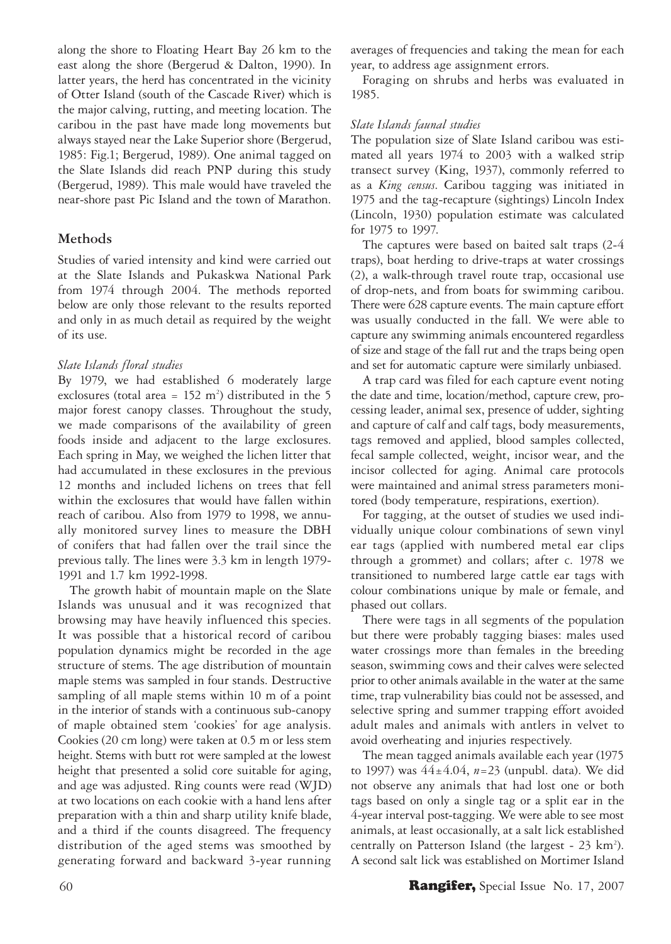along the shore to Floating Heart Bay 26 km to the east along the shore (Bergerud & Dalton, 1990). In latter years, the herd has concentrated in the vicinity of Otter Island (south of the Cascade River) which is the major calving, rutting, and meeting location. The caribou in the past have made long movements but always stayed near the Lake Superior shore (Bergerud, 1985: Fig.1; Bergerud, 1989). One animal tagged on the Slate Islands did reach PNP during this study (Bergerud, 1989). This male would have traveled the near-shore past Pic Island and the town of Marathon.

## **Methods**

Studies of varied intensity and kind were carried out at the Slate Islands and Pukaskwa National Park from 1974 through 2004. The methods reported below are only those relevant to the results reported and only in as much detail as required by the weight of its use.

## *Slate Islands floral studies*

By 1979, we had established 6 moderately large exclosures (total area =  $152 \text{ m}^2$ ) distributed in the 5 major forest canopy classes. Throughout the study, we made comparisons of the availability of green foods inside and adjacent to the large exclosures. Each spring in May, we weighed the lichen litter that had accumulated in these exclosures in the previous 12 months and included lichens on trees that fell within the exclosures that would have fallen within reach of caribou. Also from 1979 to 1998, we annually monitored survey lines to measure the DBH of conifers that had fallen over the trail since the previous tally. The lines were 3.3 km in length 1979- 1991 and 1.7 km 1992-1998.

The growth habit of mountain maple on the Slate Islands was unusual and it was recognized that browsing may have heavily influenced this species. It was possible that a historical record of caribou population dynamics might be recorded in the age structure of stems. The age distribution of mountain maple stems was sampled in four stands. Destructive sampling of all maple stems within 10 m of a point in the interior of stands with a continuous sub-canopy of maple obtained stem 'cookies' for age analysis. Cookies (20 cm long) were taken at 0.5 m or less stem height. Stems with butt rot were sampled at the lowest height that presented a solid core suitable for aging, and age was adjusted. Ring counts were read (WJD) at two locations on each cookie with a hand lens after preparation with a thin and sharp utility knife blade, and a third if the counts disagreed. The frequency distribution of the aged stems was smoothed by generating forward and backward 3-year running averages of frequencies and taking the mean for each year, to address age assignment errors.

Foraging on shrubs and herbs was evaluated in 1985.

## *Slate Islands faunal studies*

The population size of Slate Island caribou was estimated all years 1974 to 2003 with a walked strip transect survey (King, 1937), commonly referred to as a *King census*. Caribou tagging was initiated in 1975 and the tag-recapture (sightings) Lincoln Index (Lincoln, 1930) population estimate was calculated for 1975 to 1997.

The captures were based on baited salt traps (2-4 traps), boat herding to drive-traps at water crossings (2), a walk-through travel route trap, occasional use of drop-nets, and from boats for swimming caribou. There were 628 capture events. The main capture effort was usually conducted in the fall. We were able to capture any swimming animals encountered regardless of size and stage of the fall rut and the traps being open and set for automatic capture were similarly unbiased.

A trap card was filed for each capture event noting the date and time, location/method, capture crew, processing leader, animal sex, presence of udder, sighting and capture of calf and calf tags, body measurements, tags removed and applied, blood samples collected, fecal sample collected, weight, incisor wear, and the incisor collected for aging. Animal care protocols were maintained and animal stress parameters monitored (body temperature, respirations, exertion).

For tagging, at the outset of studies we used individually unique colour combinations of sewn vinyl ear tags (applied with numbered metal ear clips through a grommet) and collars; after c. 1978 we transitioned to numbered large cattle ear tags with colour combinations unique by male or female, and phased out collars.

There were tags in all segments of the population but there were probably tagging biases: males used water crossings more than females in the breeding season, swimming cows and their calves were selected prior to other animals available in the water at the same time, trap vulnerability bias could not be assessed, and selective spring and summer trapping effort avoided adult males and animals with antlers in velvet to avoid overheating and injuries respectively.

The mean tagged animals available each year (1975 to 1997) was 44±4.04, *n*=23 (unpubl. data). We did not observe any animals that had lost one or both tags based on only a single tag or a split ear in the 4-year interval post-tagging. We were able to see most animals, at least occasionally, at a salt lick established centrally on Patterson Island (the largest -  $23 \text{ km}^2$ ). A second salt lick was established on Mortimer Island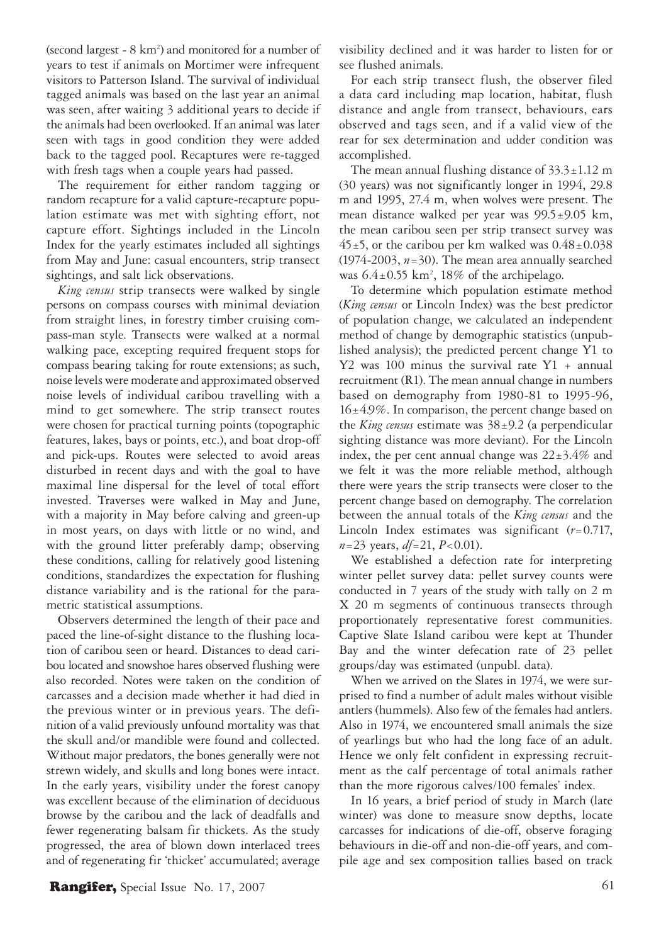(second largest - 8 km<sup>2</sup>) and monitored for a number of years to test if animals on Mortimer were infrequent visitors to Patterson Island. The survival of individual tagged animals was based on the last year an animal was seen, after waiting 3 additional years to decide if the animals had been overlooked. If an animal was later seen with tags in good condition they were added back to the tagged pool. Recaptures were re-tagged with fresh tags when a couple years had passed.

The requirement for either random tagging or random recapture for a valid capture-recapture population estimate was met with sighting effort, not capture effort. Sightings included in the Lincoln Index for the yearly estimates included all sightings from May and June: casual encounters, strip transect sightings, and salt lick observations.

*King census* strip transects were walked by single persons on compass courses with minimal deviation from straight lines, in forestry timber cruising compass-man style. Transects were walked at a normal walking pace, excepting required frequent stops for compass bearing taking for route extensions; as such, noise levels were moderate and approximated observed noise levels of individual caribou travelling with a mind to get somewhere. The strip transect routes were chosen for practical turning points (topographic features, lakes, bays or points, etc.), and boat drop-off and pick-ups. Routes were selected to avoid areas disturbed in recent days and with the goal to have maximal line dispersal for the level of total effort invested. Traverses were walked in May and June, with a majority in May before calving and green-up in most years, on days with little or no wind, and with the ground litter preferably damp; observing these conditions, calling for relatively good listening conditions, standardizes the expectation for flushing distance variability and is the rational for the parametric statistical assumptions.

Observers determined the length of their pace and paced the line-of-sight distance to the flushing location of caribou seen or heard. Distances to dead caribou located and snowshoe hares observed flushing were also recorded. Notes were taken on the condition of carcasses and a decision made whether it had died in the previous winter or in previous years. The definition of a valid previously unfound mortality was that the skull and/or mandible were found and collected. Without major predators, the bones generally were not strewn widely, and skulls and long bones were intact. In the early years, visibility under the forest canopy was excellent because of the elimination of deciduous browse by the caribou and the lack of deadfalls and fewer regenerating balsam fir thickets. As the study progressed, the area of blown down interlaced trees and of regenerating fir 'thicket' accumulated; average visibility declined and it was harder to listen for or see flushed animals.

For each strip transect flush, the observer filed a data card including map location, habitat, flush distance and angle from transect, behaviours, ears observed and tags seen, and if a valid view of the rear for sex determination and udder condition was accomplished.

The mean annual flushing distance of  $33.3 \pm 1.12$  m (30 years) was not significantly longer in 1994, 29.8 m and 1995, 27.4 m, when wolves were present. The mean distance walked per year was 99.5±9.05 km, the mean caribou seen per strip transect survey was  $45±5$ , or the caribou per km walked was  $0.48±0.038$  $(1974-2003, n=30)$ . The mean area annually searched was  $6.4 \pm 0.55$  km<sup>2</sup>, 18% of the archipelago.

To determine which population estimate method (*King census* or Lincoln Index) was the best predictor of population change, we calculated an independent method of change by demographic statistics (unpublished analysis); the predicted percent change Y1 to Y2 was 100 minus the survival rate Y1 + annual recruitment (R1). The mean annual change in numbers based on demography from 1980-81 to 1995-96,  $16±4.9\%$ . In comparison, the percent change based on the *King census* estimate was  $38\pm9.2$  (a perpendicular sighting distance was more deviant). For the Lincoln index, the per cent annual change was  $22\pm3.4\%$  and we felt it was the more reliable method, although there were years the strip transects were closer to the percent change based on demography. The correlation between the annual totals of the *King census* and the Lincoln Index estimates was significant (*r*=0.717, *n*=23 years, *df*=21, *P*<0.01).

We established a defection rate for interpreting winter pellet survey data: pellet survey counts were conducted in 7 years of the study with tally on 2 m X 20 m segments of continuous transects through proportionately representative forest communities. Captive Slate Island caribou were kept at Thunder Bay and the winter defecation rate of 23 pellet groups/day was estimated (unpubl. data).

When we arrived on the Slates in 1974, we were surprised to find a number of adult males without visible antlers (hummels). Also few of the females had antlers. Also in 1974, we encountered small animals the size of yearlings but who had the long face of an adult. Hence we only felt confident in expressing recruitment as the calf percentage of total animals rather than the more rigorous calves/100 females' index.

In 16 years, a brief period of study in March (late winter) was done to measure snow depths, locate carcasses for indications of die-off, observe foraging behaviours in die-off and non-die-off years, and compile age and sex composition tallies based on track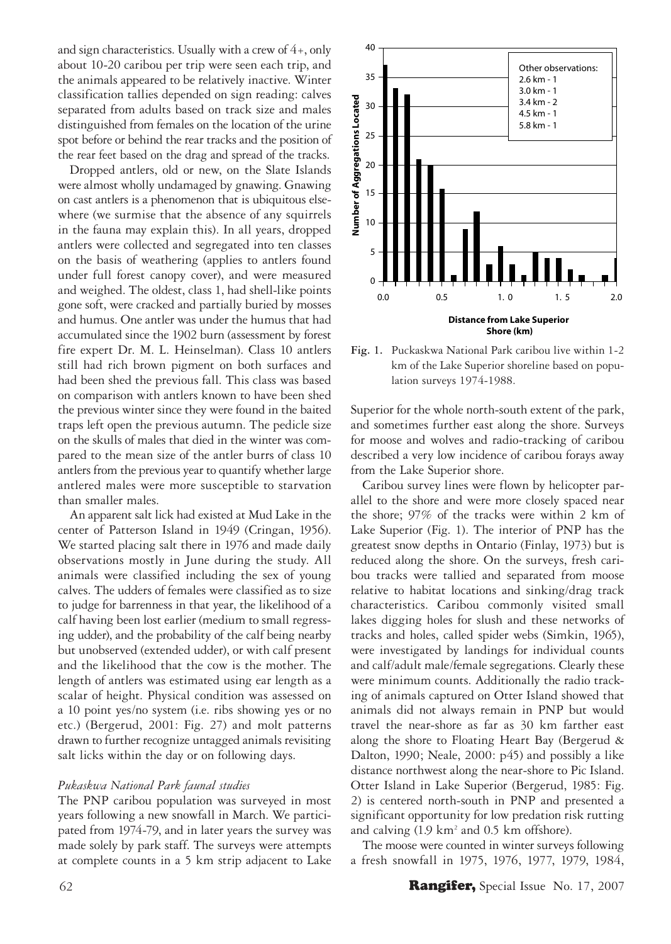and sign characteristics. Usually with a crew of  $4<sub>+</sub>$ , only about 10-20 caribou per trip were seen each trip, and the animals appeared to be relatively inactive. Winter classification tallies depended on sign reading: calves separated from adults based on track size and males distinguished from females on the location of the urine spot before or behind the rear tracks and the position of the rear feet based on the drag and spread of the tracks.

Dropped antlers, old or new, on the Slate Islands were almost wholly undamaged by gnawing. Gnawing on cast antlers is a phenomenon that is ubiquitous elsewhere (we surmise that the absence of any squirrels in the fauna may explain this). In all years, dropped antlers were collected and segregated into ten classes on the basis of weathering (applies to antlers found under full forest canopy cover), and were measured and weighed. The oldest, class 1, had shell-like points gone soft, were cracked and partially buried by mosses and humus. One antler was under the humus that had accumulated since the 1902 burn (assessment by forest fire expert Dr. M. L. Heinselman). Class 10 antlers still had rich brown pigment on both surfaces and had been shed the previous fall. This class was based on comparison with antlers known to have been shed the previous winter since they were found in the baited traps left open the previous autumn. The pedicle size on the skulls of males that died in the winter was compared to the mean size of the antler burrs of class 10 antlers from the previous year to quantify whether large antlered males were more susceptible to starvation than smaller males.

An apparent salt lick had existed at Mud Lake in the center of Patterson Island in 1949 (Cringan, 1956). We started placing salt there in 1976 and made daily observations mostly in June during the study. All animals were classified including the sex of young calves. The udders of females were classified as to size to judge for barrenness in that year, the likelihood of a calf having been lost earlier (medium to small regressing udder), and the probability of the calf being nearby but unobserved (extended udder), or with calf present and the likelihood that the cow is the mother. The length of antlers was estimated using ear length as a scalar of height. Physical condition was assessed on a 10 point yes/no system (i.e. ribs showing yes or no etc.) (Bergerud, 2001: Fig. 27) and molt patterns drawn to further recognize untagged animals revisiting salt licks within the day or on following days.

### *Pukaskwa National Park faunal studies*

The PNP caribou population was surveyed in most years following a new snowfall in March. We participated from 1974-79, and in later years the survey was made solely by park staff. The surveys were attempts at complete counts in a 5 km strip adjacent to Lake



**Fig. 1.** Puckaskwa National Park caribou live within 1-2 km of the Lake Superior shoreline based on population surveys 1974-1988.

Superior for the whole north-south extent of the park, and sometimes further east along the shore. Surveys for moose and wolves and radio-tracking of caribou described a very low incidence of caribou forays away from the Lake Superior shore.

Caribou survey lines were flown by helicopter parallel to the shore and were more closely spaced near the shore; 97% of the tracks were within 2 km of Lake Superior (Fig. 1). The interior of PNP has the greatest snow depths in Ontario (Finlay, 1973) but is reduced along the shore. On the surveys, fresh caribou tracks were tallied and separated from moose relative to habitat locations and sinking/drag track characteristics. Caribou commonly visited small lakes digging holes for slush and these networks of tracks and holes, called spider webs (Simkin, 1965), were investigated by landings for individual counts and calf/adult male/female segregations. Clearly these were minimum counts. Additionally the radio tracking of animals captured on Otter Island showed that animals did not always remain in PNP but would travel the near-shore as far as 30 km farther east along the shore to Floating Heart Bay (Bergerud & Dalton, 1990; Neale, 2000: p45) and possibly a like distance northwest along the near-shore to Pic Island. Otter Island in Lake Superior (Bergerud, 1985: Fig. 2) is centered north-south in PNP and presented a significant opportunity for low predation risk rutting and calving (1.9 km<sup>2</sup> and 0.5 km offshore).

The moose were counted in winter surveys following a fresh snowfall in 1975, 1976, 1977, 1979, 1984,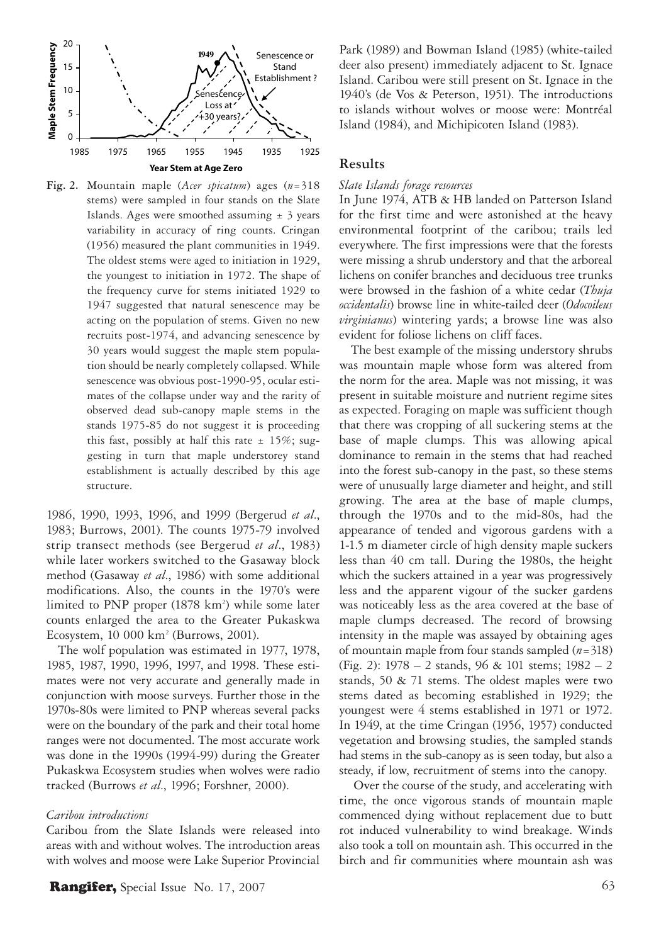

**Fig. 2.** Mountain maple (*Acer spicatum*) ages (*n*=318 stems) were sampled in four stands on the Slate Islands. Ages were smoothed assuming  $\pm$  3 years variability in accuracy of ring counts. Cringan (1956) measured the plant communities in 1949. The oldest stems were aged to initiation in 1929, the youngest to initiation in 1972. The shape of the frequency curve for stems initiated 1929 to 1947 suggested that natural senescence may be acting on the population of stems. Given no new recruits post-1974, and advancing senescence by 30 years would suggest the maple stem population should be nearly completely collapsed. While senescence was obvious post-1990-95, ocular estimates of the collapse under way and the rarity of observed dead sub-canopy maple stems in the stands 1975-85 do not suggest it is proceeding this fast, possibly at half this rate  $\pm$  15%; suggesting in turn that maple understorey stand establishment is actually described by this age structure.

1986, 1990, 1993, 1996, and 1999 (Bergerud *et al*., 1983; Burrows, 2001). The counts 1975-79 involved strip transect methods (see Bergerud *et al*., 1983) while later workers switched to the Gasaway block method (Gasaway *et al*., 1986) with some additional modifications. Also, the counts in the 1970's were limited to PNP proper (1878 km<sup>2</sup>) while some later counts enlarged the area to the Greater Pukaskwa Ecosystem, 10 000 km2 (Burrows, 2001).

The wolf population was estimated in 1977, 1978, 1985, 1987, 1990, 1996, 1997, and 1998. These estimates were not very accurate and generally made in conjunction with moose surveys. Further those in the 1970s-80s were limited to PNP whereas several packs were on the boundary of the park and their total home ranges were not documented. The most accurate work was done in the 1990s (1994-99) during the Greater Pukaskwa Ecosystem studies when wolves were radio tracked (Burrows *et al*., 1996; Forshner, 2000).

#### *Caribou introductions*

Caribou from the Slate Islands were released into areas with and without wolves. The introduction areas with wolves and moose were Lake Superior Provincial Park (1989) and Bowman Island (1985) (white-tailed deer also present) immediately adjacent to St. Ignace Island. Caribou were still present on St. Ignace in the 1940's (de Vos & Peterson, 1951). The introductions to islands without wolves or moose were: Montréal Island (1984), and Michipicoten Island (1983).

## **Results**

#### *Slate Islands forage resources*

In June 1974, ATB & HB landed on Patterson Island for the first time and were astonished at the heavy environmental footprint of the caribou; trails led everywhere. The first impressions were that the forests were missing a shrub understory and that the arboreal lichens on conifer branches and deciduous tree trunks were browsed in the fashion of a white cedar (*Thuja occidentalis*) browse line in white-tailed deer (*Odocoileus virginianus*) wintering yards; a browse line was also evident for foliose lichens on cliff faces.

The best example of the missing understory shrubs was mountain maple whose form was altered from the norm for the area. Maple was not missing, it was present in suitable moisture and nutrient regime sites as expected. Foraging on maple was sufficient though that there was cropping of all suckering stems at the base of maple clumps. This was allowing apical dominance to remain in the stems that had reached into the forest sub-canopy in the past, so these stems were of unusually large diameter and height, and still growing. The area at the base of maple clumps, through the 1970s and to the mid-80s, had the appearance of tended and vigorous gardens with a 1-1.5 m diameter circle of high density maple suckers less than 40 cm tall. During the 1980s, the height which the suckers attained in a year was progressively less and the apparent vigour of the sucker gardens was noticeably less as the area covered at the base of maple clumps decreased. The record of browsing intensity in the maple was assayed by obtaining ages of mountain maple from four stands sampled (*n*=318) (Fig. 2): 1978 – 2 stands, 96 & 101 stems; 1982 – 2 stands, 50 & 71 stems. The oldest maples were two stems dated as becoming established in 1929; the youngest were 4 stems established in 1971 or 1972. In 1949, at the time Cringan (1956, 1957) conducted vegetation and browsing studies, the sampled stands had stems in the sub-canopy as is seen today, but also a steady, if low, recruitment of stems into the canopy.

 Over the course of the study, and accelerating with time, the once vigorous stands of mountain maple commenced dying without replacement due to butt rot induced vulnerability to wind breakage. Winds also took a toll on mountain ash. This occurred in the birch and fir communities where mountain ash was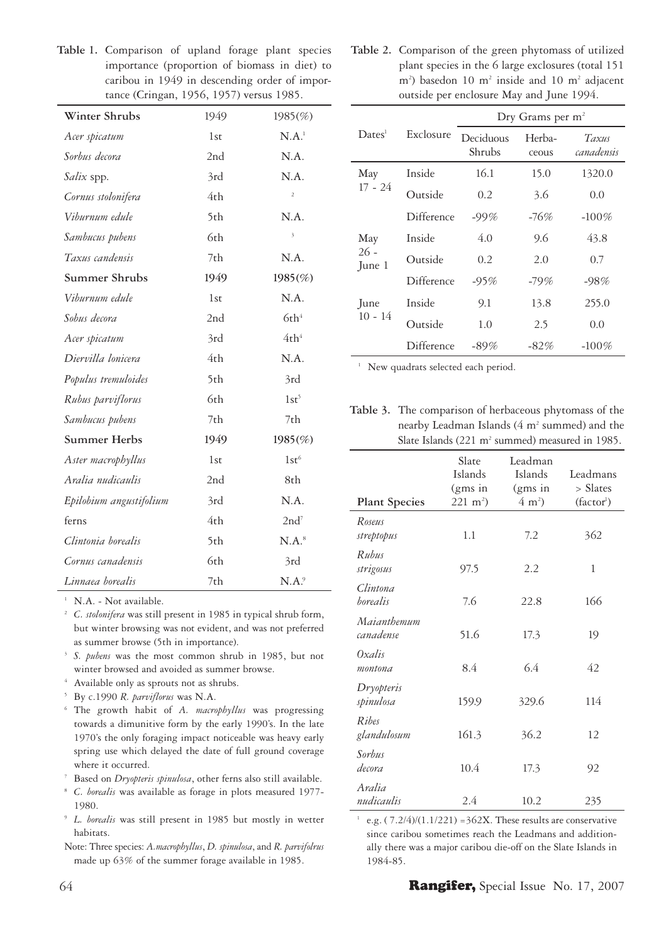**Table 1.** Comparison of upland forage plant species importance (proportion of biomass in diet) to caribou in 1949 in descending order of importance (Cringan, 1956, 1957) versus 1985.

| Winter Shrubs           | 1949 | $1985(\%)$              |
|-------------------------|------|-------------------------|
| Acer spicatum           | 1st  | $N.A.$ <sup>1</sup>     |
| Sorbus decora           | 2nd  | N.A.                    |
| Salix spp.              | 3rd  | N.A.                    |
| Cornus stolonifera      | 4th  | $\overline{a}$          |
| Viburnum edule          | 5th  | N.A.                    |
| Sambucus pubens         | 6th  | $\overline{\mathbf{3}}$ |
| Taxus candensis         | 7th  | N.A.                    |
| Summer Shrubs           | 1949 | $1985(\%)$              |
| Viburnum edule          | 1st  | N.A.                    |
| Sobus decora            | 2nd  | 6th <sup>4</sup>        |
| Acer spicatum           | 3rd  | 4th <sup>4</sup>        |
| Diervilla lonicera      | 4th  | N.A.                    |
| Populus tremuloides     | 5th  | 3rd                     |
| Rubus parviflorus       | 6th  | $1st^5$                 |
| Sambucus pubens         | 7th  | 7th                     |
| Summer Herbs            | 1949 | 1985(%)                 |
| Aster macrophyllus      | 1st  | 1st <sup>6</sup>        |
| Aralia nudicaulis       | 2nd  | 8th                     |
| Epilobium angustifolium | 3rd  | N.A.                    |
| ferns                   | 4th  | 2nd <sup>7</sup>        |
| Clintonia borealis      | 5th  | $N.A.^8$                |
| Cornus canadensis       | 6th  | 3rd                     |
| Linnaea borealis        | 7th  | $N.A.$ <sup>9</sup>     |

N.A. - Not available.

<sup>2</sup>*C. stolonifera* was still present in 1985 in typical shrub form, but winter browsing was not evident, and was not preferred as summer browse (5th in importance).

<sup>3</sup>*S. pubens* was the most common shrub in 1985, but not winter browsed and avoided as summer browse.

4 Available only as sprouts not as shrubs.

- 5 By c.1990 *R. parviflorus* was N.A.
- 6 The growth habit of *A. macrophyllus* was progressing towards a dimunitive form by the early 1990's. In the late 1970's the only foraging impact noticeable was heavy early spring use which delayed the date of full ground coverage where it occurred.
- 7 Based on *Dryopteris spinulosa*, other ferns also still available.
- <sup>8</sup> *C. borealis* was available as forage in plots measured 1977- 1980.
- <sup>9</sup>*L. borealis* was still present in 1985 but mostly in wetter habitats.
- Note: Three species: *A.macrophyllus*, *D. spinulosa*, and *R. parvifolrus* made up 63% of the summer forage available in 1985.

**Table 2.** Comparison of the green phytomass of utilized plant species in the 6 large exclosures (total 151 m<sup>2</sup>) basedon 10 m<sup>2</sup> inside and 10 m<sup>2</sup> adjacent outside per enclosure May and June 1994.

|                         |            | Dry Grams per $m^2$ |                 |                     |  |  |
|-------------------------|------------|---------------------|-----------------|---------------------|--|--|
| Dates <sup>1</sup>      | Exclosure  | Deciduous<br>Shrubs | Herba-<br>ceous | Taxus<br>canadensis |  |  |
| May                     | Inside     | 16.1                | 15.0            | 1320.0              |  |  |
| $17 - 24$               | Outside    | 0.2                 | 3.6             | 0.0                 |  |  |
|                         | Difference | $-99%$              | -76%            | $-100\%$            |  |  |
| May<br>$26 -$<br>June 1 | Inside     | 4.0                 | 9.6             | 43.8                |  |  |
|                         | Outside    | 0.2                 | 2.0             | 0.7                 |  |  |
|                         | Difference | $-95%$              | $-79%$          | $-98%$              |  |  |
| June<br>$10 - 14$       | Inside     | 9.1                 | 13.8            | 255.0               |  |  |
|                         | Outside    | 1.0                 | 2.5             | 0.0                 |  |  |
|                         | Difference | $-89%$              | $-82%$          | $-100\%$            |  |  |

<sup>1</sup> New quadrats selected each period.

**Table 3.** The comparison of herbaceous phytomass of the nearby Leadman Islands (4 m<sup>2</sup> summed) and the Slate Islands (221 m<sup>2</sup> summed) measured in 1985.

| <b>Plant Species</b>        | Slate<br>Islands<br>(gms in<br>$221 \text{ m}^2$ | Leadman<br>Islands<br>(gms in<br>$(4 \text{ m}^2)$ | Leadmans<br>> Slates<br>(factor <sup>1</sup> ) |
|-----------------------------|--------------------------------------------------|----------------------------------------------------|------------------------------------------------|
| Roseus<br>streptopus        | 1.1                                              | 7.2                                                | 362                                            |
| Ruhus<br>strigosus          | 97.5                                             | 2.2                                                | 1                                              |
| Clintona<br><i>borealis</i> | 7.6                                              | 22.8                                               | 166                                            |
| Maianthemum<br>canadense    | 51.6                                             | 17.3                                               | 19                                             |
| Oxalis<br>montona           | 8.4                                              | 6.4                                                | 42                                             |
| Dryopteris<br>spinulosa     | 159.9                                            | 329.6                                              | 114                                            |
| Ribes<br>glandulosum        | 161.3                                            | 36.2                                               | 12                                             |
| Sorbus<br>decora            | 10.4                                             | 17.3                                               | 92                                             |
| Aralia<br>nudicaulis        | 2.4                                              | 10.2                                               | 235                                            |

<sup>1</sup> e.g.  $(7.2/4)/(1.1/221) = 362X$ . These results are conservative since caribou sometimes reach the Leadmans and additionally there was a major caribou die-off on the Slate Islands in 1984-85.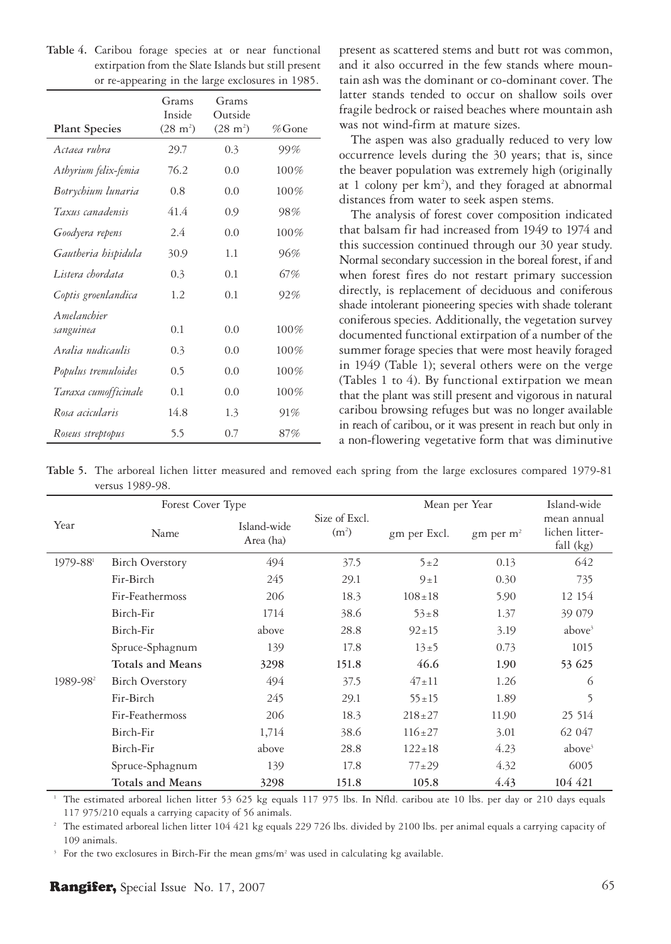|                      | Grams<br>Inside    | Grams<br>Outside   |           |
|----------------------|--------------------|--------------------|-----------|
| <b>Plant Species</b> | $(28 \text{ m}^2)$ | $(28 \text{ m}^2)$ | $\%$ Gone |
| Actaea ruhra         | 29.7               | 0.3                | 99%       |
| Athyrium felix-femia | 76.2               | 0.0                | 100%      |
| Botrychium lunaria   | 0.8                | 0.0                | 100%      |
| Taxus canadensis     | 41.4               | 0.9                | 98%       |
| Goodyera repens      | 2.4                | 0.0                | 100%      |
| Gautheria hispidula  | 30.9               | 1.1                | 96%       |
| Listera chordata     | 0.3                | 0.1                | 67%       |
| Coptis groenlandica  | 1.2                | 0.1                | 92%       |
| <i>Amelanchier</i>   |                    |                    |           |
| sanguinea            | 0.1                | 0.0                | 100%      |
| Aralia nudicaulis    | 0.3                | 0.0                | 100%      |
| Populus tremuloides  | 0.5                | 0.0                | 100%      |
| Taraxa cumofficinale | 0.1                | 0.0                | 100%      |
| Rosa acicularis      | 14.8               | 1.3                | 91%       |
| Roseus streptopus    | 5.5                | 0.7                | 87%       |

**Table 4.** Caribou forage species at or near functional extirpation from the Slate Islands but still present or re-appearing in the large exclosures in 1985.

present as scattered stems and butt rot was common, and it also occurred in the few stands where mountain ash was the dominant or co-dominant cover. The latter stands tended to occur on shallow soils over fragile bedrock or raised beaches where mountain ash was not wind-firm at mature sizes.

The aspen was also gradually reduced to very low occurrence levels during the 30 years; that is, since the beaver population was extremely high (originally at 1 colony per km<sup>2</sup>), and they foraged at abnormal distances from water to seek aspen stems.

The analysis of forest cover composition indicated that balsam fir had increased from 1949 to 1974 and this succession continued through our 30 year study. Normal secondary succession in the boreal forest, if and when forest fires do not restart primary succession directly, is replacement of deciduous and coniferous shade intolerant pioneering species with shade tolerant coniferous species. Additionally, the vegetation survey documented functional extirpation of a number of the summer forage species that were most heavily foraged in 1949 (Table 1); several others were on the verge (Tables 1 to 4). By functional extirpation we mean that the plant was still present and vigorous in natural caribou browsing refuges but was no longer available in reach of caribou, or it was present in reach but only in a non-flowering vegetative form that was diminutive

**Table 5.** The arboreal lichen litter measured and removed each spring from the large exclosures compared 1979-81 versus 1989-98.

|                      | Forest Cover Type       |                          | Size of Excl.<br>(m <sup>2</sup> ) | Mean per Year | Island-wide                    |                                            |
|----------------------|-------------------------|--------------------------|------------------------------------|---------------|--------------------------------|--------------------------------------------|
| Year                 | Name                    | Island-wide<br>Area (ha) |                                    | gm per Excl.  | $\text{gm}$ per m <sup>2</sup> | mean annual<br>lichen litter-<br>fall (kg) |
| $1979 - 881$         | <b>Birch Overstory</b>  | 494                      | 37.5                               | $5\pm2$       | 0.13                           | 642                                        |
|                      | Fir-Birch               | 245                      | 29.1                               | $9\pm1$       | 0.30                           | 735                                        |
|                      | Fir-Feathermoss         | 206                      | 18.3                               | $108 \pm 18$  | 5.90                           | 12 154                                     |
|                      | Birch-Fir               | 1714                     | 38.6                               | $53 \pm 8$    | 1.37                           | 39 079                                     |
| 1989-98 <sup>2</sup> | Birch-Fir               | above                    | 28.8                               | $92 \pm 15$   | 3.19                           | above <sup>3</sup>                         |
|                      | Spruce-Sphagnum         | 139                      | 17.8                               | $13\pm5$      | 0.73                           | 1015                                       |
|                      | <b>Totals and Means</b> | 3298                     | 151.8                              | 46.6          | 1.90                           | 53 625                                     |
|                      | <b>Birch Overstory</b>  | 494                      | 37.5                               | $47+11$       | 1.26                           | 6                                          |
|                      | Fir-Birch               | 245                      | 29.1                               | $55 \pm 15$   | 1.89                           | 5                                          |
|                      | Fir-Feathermoss         | 206                      | 18.3                               | $218 \pm 27$  | 11.90                          | 25 514                                     |
|                      | Birch-Fir               | 1,714                    | 38.6                               | $116 \pm 27$  | 3.01                           | 62 047                                     |
|                      | Birch-Fir               | above                    | 28.8                               | $122 \pm 18$  | 4.23                           | above <sup>3</sup>                         |
|                      | Spruce-Sphagnum         | 139                      | 17.8                               | $77+29$       | 4.32                           | 6005                                       |
|                      | Totals and Means        | 3298                     | 151.8                              | 105.8         | 4.43                           | 104 421                                    |

<sup>1</sup> The estimated arboreal lichen litter 53 625 kg equals 117 975 lbs. In Nfld. caribou ate 10 lbs. per day or 210 days equals 117 975/210 equals a carrying capacity of 56 animals.

<sup>2</sup> The estimated arboreal lichen litter 104 421 kg equals 229 726 lbs. divided by 2100 lbs. per animal equals a carrying capacity of 109 animals.

<sup>3</sup> For the two exclosures in Birch-Fir the mean gms/m<sup>2</sup> was used in calculating kg available.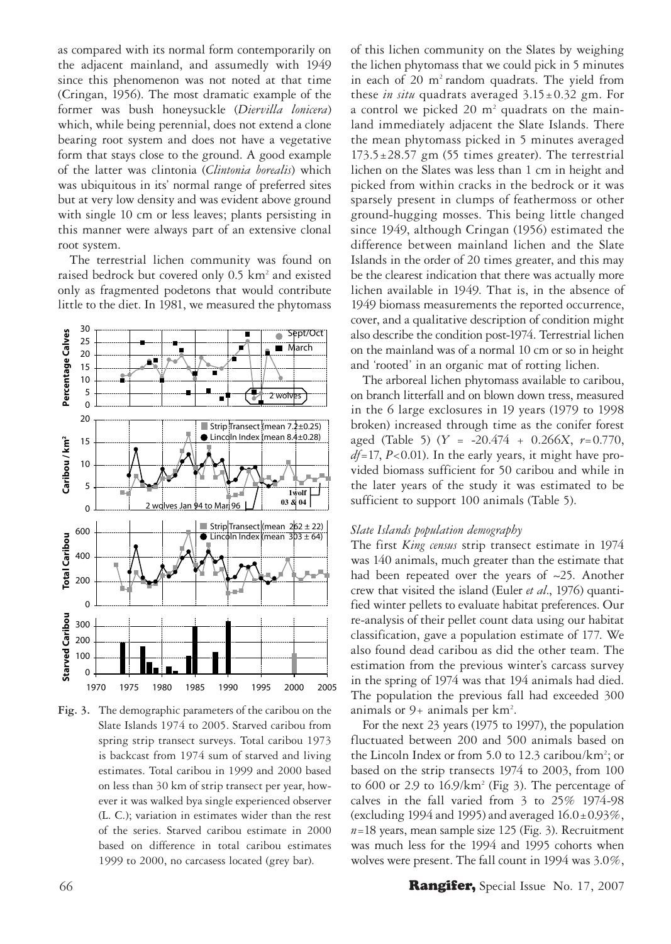as compared with its normal form contemporarily on the adjacent mainland, and assumedly with 1949 since this phenomenon was not noted at that time (Cringan, 1956). The most dramatic example of the former was bush honeysuckle (*Diervilla lonicera*) which, while being perennial, does not extend a clone bearing root system and does not have a vegetative form that stays close to the ground. A good example of the latter was clintonia (*Clintonia borealis*) which was ubiquitous in its' normal range of preferred sites but at very low density and was evident above ground with single 10 cm or less leaves; plants persisting in this manner were always part of an extensive clonal root system.

The terrestrial lichen community was found on raised bedrock but covered only 0.5 km<sup>2</sup> and existed only as fragmented podetons that would contribute little to the diet. In 1981, we measured the phytomass



**Fig. 3.** The demographic parameters of the caribou on the Slate Islands 1974 to 2005. Starved caribou from spring strip transect surveys. Total caribou 1973 is backcast from 1974 sum of starved and living estimates. Total caribou in 1999 and 2000 based on less than 30 km of strip transect per year, however it was walked bya single experienced observer (L. C.); variation in estimates wider than the rest of the series. Starved caribou estimate in 2000 based on difference in total caribou estimates 1999 to 2000, no carcasess located (grey bar).

of this lichen community on the Slates by weighing the lichen phytomass that we could pick in 5 minutes in each of 20 m<sup>2</sup> random quadrats. The yield from these *in situ* quadrats averaged 3.15±0.32 gm. For a control we picked 20 m<sup>2</sup> quadrats on the mainland immediately adjacent the Slate Islands. There the mean phytomass picked in 5 minutes averaged  $173.5 \pm 28.57$  gm (55 times greater). The terrestrial lichen on the Slates was less than 1 cm in height and picked from within cracks in the bedrock or it was sparsely present in clumps of feathermoss or other ground-hugging mosses. This being little changed since 1949, although Cringan (1956) estimated the difference between mainland lichen and the Slate Islands in the order of 20 times greater, and this may be the clearest indication that there was actually more lichen available in 1949. That is, in the absence of 1949 biomass measurements the reported occurrence, cover, and a qualitative description of condition might also describe the condition post-1974. Terrestrial lichen on the mainland was of a normal 10 cm or so in height and 'rooted' in an organic mat of rotting lichen.

The arboreal lichen phytomass available to caribou, on branch litterfall and on blown down tress, measured in the 6 large exclosures in 19 years (1979 to 1998 broken) increased through time as the conifer forest aged (Table 5) (*Y* = -20.474 + 0.266*X*, *r*=0.770, *df*=17, *P*<0.01). In the early years, it might have provided biomass sufficient for 50 caribou and while in the later years of the study it was estimated to be sufficient to support 100 animals (Table 5).

# *Slate Islands population demography*

The first *King census* strip transect estimate in 1974 was 140 animals, much greater than the estimate that had been repeated over the years of  $\sim$ 25. Another crew that visited the island (Euler *et al*., 1976) quantified winter pellets to evaluate habitat preferences. Our re-analysis of their pellet count data using our habitat classification, gave a population estimate of 177. We also found dead caribou as did the other team. The estimation from the previous winter's carcass survey in the spring of 1974 was that 194 animals had died. The population the previous fall had exceeded 300 animals or 9+ animals per km<sup>2</sup>.

For the next 23 years (1975 to 1997), the population fluctuated between 200 and 500 animals based on the Lincoln Index or from 5.0 to 12.3 caribou/km<sup>2</sup>; or based on the strip transects 1974 to 2003, from 100 to  $600$  or 2.9 to  $16.9/km^2$  (Fig 3). The percentage of calves in the fall varied from 3 to 25% 1974-98 (excluding 1994 and 1995) and averaged  $16.0 \pm 0.93\%$ , *n*=18 years, mean sample size 125 (Fig. 3). Recruitment was much less for the 1994 and 1995 cohorts when wolves were present. The fall count in 1994 was 3.0%,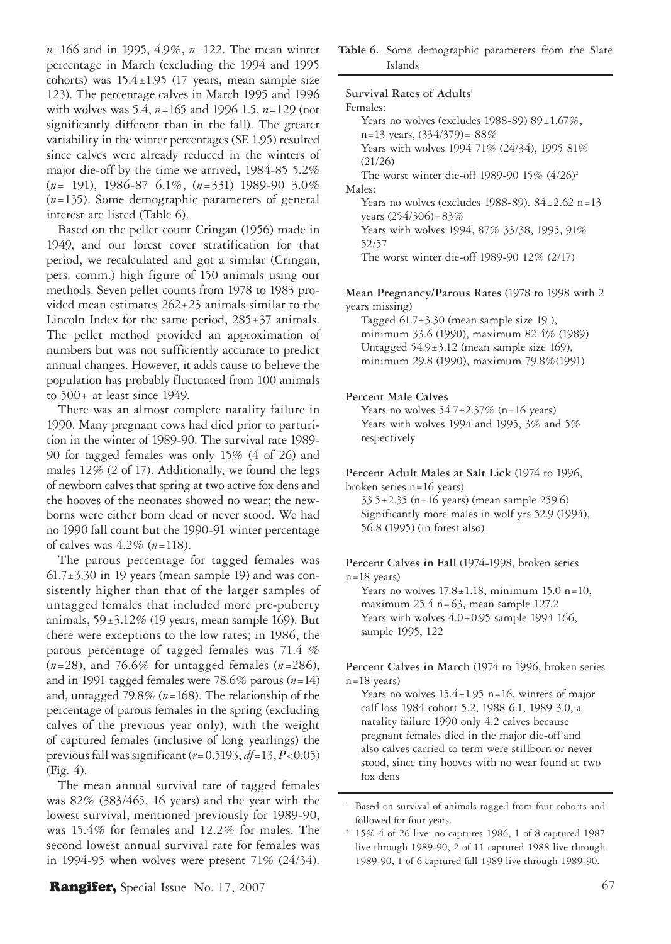*n*=166 and in 1995, 4.9%, *n*=122. The mean winter percentage in March (excluding the 1994 and 1995 cohorts) was  $15.4 \pm 1.95$  (17 years, mean sample size 123). The percentage calves in March 1995 and 1996 with wolves was 5.4, *n*=165 and 1996 1.5, *n*=129 (not significantly different than in the fall). The greater variability in the winter percentages (SE 1.95) resulted since calves were already reduced in the winters of major die-off by the time we arrived, 1984-85 5.2% (*n*= 191), 1986-87 6.1%, (*n*=331) 1989-90 3.0% (*n*=135). Some demographic parameters of general interest are listed (Table 6).

Based on the pellet count Cringan (1956) made in 1949, and our forest cover stratification for that period, we recalculated and got a similar (Cringan, pers. comm.) high figure of 150 animals using our methods. Seven pellet counts from 1978 to 1983 provided mean estimates 262±23 animals similar to the Lincoln Index for the same period,  $285±37$  animals. The pellet method provided an approximation of numbers but was not sufficiently accurate to predict annual changes. However, it adds cause to believe the population has probably fluctuated from 100 animals to  $500+$  at least since 1949.

There was an almost complete natality failure in 1990. Many pregnant cows had died prior to parturition in the winter of 1989-90. The survival rate 1989- 90 for tagged females was only 15% (4 of 26) and males 12% (2 of 17). Additionally, we found the legs of newborn calves that spring at two active fox dens and the hooves of the neonates showed no wear; the newborns were either born dead or never stood. We had no 1990 fall count but the 1990-91 winter percentage of calves was 4.2% (*n*=118).

The parous percentage for tagged females was  $61.7\pm3.30$  in 19 years (mean sample 19) and was consistently higher than that of the larger samples of untagged females that included more pre-puberty animals,  $59±3.12%$  (19 years, mean sample 169). But there were exceptions to the low rates; in 1986, the parous percentage of tagged females was 71.4 % (*n*=28), and 76.6% for untagged females (*n*=286), and in 1991 tagged females were 78.6% parous (*n*=14) and, untagged 79.8% (*n*=168). The relationship of the percentage of parous females in the spring (excluding calves of the previous year only), with the weight of captured females (inclusive of long yearlings) the previous fall was significant (*r*=0.5193, *df*=13, *P*<0.05) (Fig. 4).

The mean annual survival rate of tagged females was 82% (383/465, 16 years) and the year with the lowest survival, mentioned previously for 1989-90, was 15.4% for females and 12.2% for males. The second lowest annual survival rate for females was in 1994-95 when wolves were present 71% (24/34). **Table 6.** Some demographic parameters from the Slate Islands

#### Survival Rates of Adults<sup>1</sup>

Females: Years no wolves (excludes 1988-89)  $89 \pm 1.67\%$ ,  $n=13$  years,  $(334/379) = 88%$  Years with wolves 1994 71% (24/34), 1995 81% (21/26) The worst winter die-off 1989-90 15%  $(4/26)^2$ Males: Years no wolves (excludes 1988-89).  $84 \pm 2.62$  n=13 years  $(254/306) = 83%$  Years with wolves 1994, 87% 33/38, 1995, 91% 52/57 The worst winter die-off 1989-90 12% (2/17)

**Mean Pregnancy/Parous Rates** (1978 to 1998 with 2 years missing)

Tagged  $61.7 \pm 3.30$  (mean sample size 19), minimum 33.6 (1990), maximum 82.4% (1989) Untagged 54.9±3.12 (mean sample size 169), minimum 29.8 (1990), maximum 79.8%(1991)

#### **Percent Male Calves**

Years no wolves  $54.7 \pm 2.37\%$  (n=16 years) Years with wolves 1994 and 1995, 3% and 5% respectively

**Percent Adult Males at Salt Lick** (1974 to 1996,

broken series n=16 years)  $33.5 \pm 2.35$  (n=16 years) (mean sample 259.6) Significantly more males in wolf yrs 52.9 (1994), 56.8 (1995) (in forest also)

**Percent Calves in Fall** (1974-1998, broken series  $n=18$  years) Years no wolves  $17.8 \pm 1.18$ , minimum 15.0 n=10,

maximum 25.4 n=63, mean sample 127.2 Years with wolves  $4.0 \pm 0.95$  sample 1994 166, sample 1995, 122

**Percent Calves in March** (1974 to 1996, broken series  $n=18$  years)

Years no wolves  $15.4 \pm 1.95$  n=16, winters of major calf loss 1984 cohort 5.2, 1988 6.1, 1989 3.0, a natality failure 1990 only 4.2 calves because pregnant females died in the major die-off and also calves carried to term were stillborn or never stood, since tiny hooves with no wear found at two fox dens

<sup>&</sup>lt;sup>1</sup> Based on survival of animals tagged from four cohorts and followed for four years.

<sup>2</sup> 15% 4 of 26 live: no captures 1986, 1 of 8 captured 1987 live through 1989-90, 2 of 11 captured 1988 live through 1989-90, 1 of 6 captured fall 1989 live through 1989-90.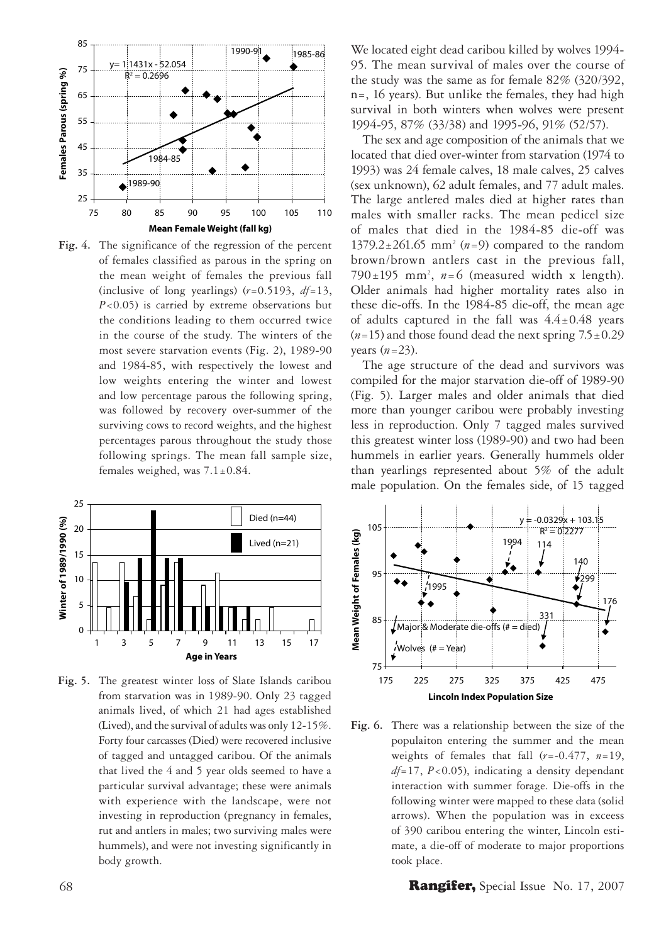

**Fig. 4.** The significance of the regression of the percent of females classified as parous in the spring on the mean weight of females the previous fall (inclusive of long yearlings)  $(r=0.5193, df=13,$ *P*<0.05) is carried by extreme observations but the conditions leading to them occurred twice in the course of the study. The winters of the most severe starvation events (Fig. 2), 1989-90 and 1984-85, with respectively the lowest and low weights entering the winter and lowest and low percentage parous the following spring, was followed by recovery over-summer of the surviving cows to record weights, and the highest percentages parous throughout the study those following springs. The mean fall sample size, females weighed, was  $7.1 \pm 0.84$ .



**Fig. 5.** The greatest winter loss of Slate Islands caribou from starvation was in 1989-90. Only 23 tagged animals lived, of which 21 had ages established (Lived), and the survival of adults was only 12-15%. Forty four carcasses (Died) were recovered inclusive of tagged and untagged caribou. Of the animals that lived the 4 and 5 year olds seemed to have a particular survival advantage; these were animals with experience with the landscape, were not investing in reproduction (pregnancy in females, rut and antlers in males; two surviving males were hummels), and were not investing significantly in body growth.

We located eight dead caribou killed by wolves 1994- 95. The mean survival of males over the course of the study was the same as for female 82% (320/392, n=, 16 years). But unlike the females, they had high survival in both winters when wolves were present 1994-95, 87% (33/38) and 1995-96, 91% (52/57).

The sex and age composition of the animals that we located that died over-winter from starvation (1974 to 1993) was 24 female calves, 18 male calves, 25 calves (sex unknown), 62 adult females, and 77 adult males. The large antlered males died at higher rates than males with smaller racks. The mean pedicel size of males that died in the 1984-85 die-off was 1379.2±261.65 mm2 (*n*=9) compared to the random brown/brown antlers cast in the previous fall, 790 $\pm$ 195 mm<sup>2</sup>,  $n=6$  (measured width x length). Older animals had higher mortality rates also in these die-offs. In the 1984-85 die-off, the mean age of adults captured in the fall was  $4.4 \pm 0.48$  years  $(n=15)$  and those found dead the next spring  $7.5\pm0.29$ years (*n*=23).

The age structure of the dead and survivors was compiled for the major starvation die-off of 1989-90 (Fig. 5). Larger males and older animals that died more than younger caribou were probably investing less in reproduction. Only 7 tagged males survived this greatest winter loss (1989-90) and two had been hummels in earlier years. Generally hummels older than yearlings represented about 5% of the adult male population. On the females side, of 15 tagged



**Fig. 6.** There was a relationship between the size of the populaiton entering the summer and the mean weights of females that fall (*r*=-0.477, *n*=19, *df*=17, *P*<0.05), indicating a density dependant interaction with summer forage. Die-offs in the following winter were mapped to these data (solid arrows). When the population was in exceess of 390 caribou entering the winter, Lincoln estimate, a die-off of moderate to major proportions took place.

68 **Rangifer,** Special Issue No. 17, 2007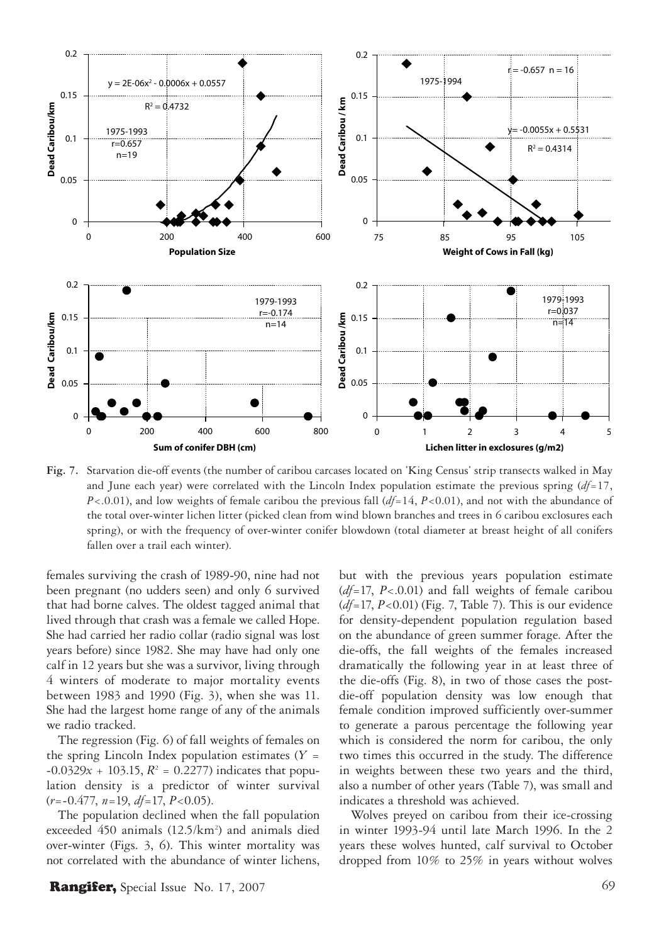

**Fig. 7.** Starvation die-off events (the number of caribou carcases located on 'King Census' strip transects walked in May and June each year) were correlated with the Lincoln Index population estimate the previous spring (*df*=17, *P*<.0.01), and low weights of female caribou the previous fall (*df*=14, *P*<0.01), and not with the abundance of the total over-winter lichen litter (picked clean from wind blown branches and trees in 6 caribou exclosures each spring), or with the frequency of over-winter conifer blowdown (total diameter at breast height of all conifers fallen over a trail each winter).

females surviving the crash of 1989-90, nine had not been pregnant (no udders seen) and only 6 survived that had borne calves. The oldest tagged animal that lived through that crash was a female we called Hope. She had carried her radio collar (radio signal was lost years before) since 1982. She may have had only one calf in 12 years but she was a survivor, living through 4 winters of moderate to major mortality events between 1983 and 1990 (Fig. 3), when she was 11. She had the largest home range of any of the animals we radio tracked.

The regression (Fig. 6) of fall weights of females on the spring Lincoln Index population estimates  $(Y =$  $-0.0329x + 103.15$ ,  $R^2 = 0.2277$ ) indicates that population density is a predictor of winter survival (*r*=-0.477, *n*=19, *df*=17, *P*<0.05).

The population declined when the fall population exceeded 450 animals (12.5/km<sup>2</sup>) and animals died over-winter (Figs. 3, 6). This winter mortality was not correlated with the abundance of winter lichens,

but with the previous years population estimate (*df*=17, *P*<.0.01) and fall weights of female caribou (*df*=17, *P*<0.01) (Fig. 7, Table 7). This is our evidence for density-dependent population regulation based on the abundance of green summer forage. After the die-offs, the fall weights of the females increased dramatically the following year in at least three of the die-offs (Fig. 8), in two of those cases the postdie-off population density was low enough that female condition improved sufficiently over-summer to generate a parous percentage the following year which is considered the norm for caribou, the only two times this occurred in the study. The difference in weights between these two years and the third, also a number of other years (Table 7), was small and indicates a threshold was achieved.

Wolves preyed on caribou from their ice-crossing in winter 1993-94 until late March 1996. In the 2 years these wolves hunted, calf survival to October dropped from 10% to 25% in years without wolves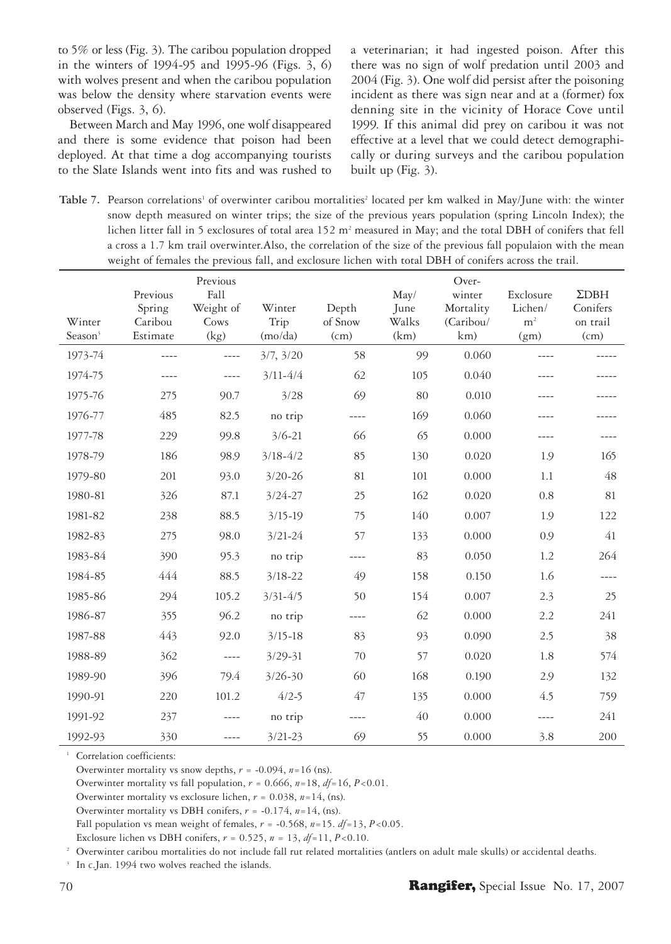to 5% or less (Fig. 3). The caribou population dropped in the winters of 1994-95 and 1995-96 (Figs. 3, 6) with wolves present and when the caribou population was below the density where starvation events were observed (Figs. 3, 6).

Between March and May 1996, one wolf disappeared and there is some evidence that poison had been deployed. At that time a dog accompanying tourists to the Slate Islands went into fits and was rushed to a veterinarian; it had ingested poison. After this there was no sign of wolf predation until 2003 and 2004 (Fig. 3). One wolf did persist after the poisoning incident as there was sign near and at a (former) fox denning site in the vicinity of Horace Cove until 1999. If this animal did prey on caribou it was not effective at a level that we could detect demographically or during surveys and the caribou population built up (Fig. 3).

Table 7. Pearson correlations' of overwinter caribou mortalities<sup>2</sup> located per km walked in May/June with: the winter snow depth measured on winter trips; the size of the previous years population (spring Lincoln Index); the lichen litter fall in 5 exclosures of total area 152 m<sup>2</sup> measured in May; and the total DBH of conifers that fell a cross a 1.7 km trail overwinter.Also, the correlation of the size of the previous fall populaion with the mean weight of females the previous fall, and exclosure lichen with total DBH of conifers across the trail.

| Winter<br>Season <sup>3</sup> | Previous<br>Spring<br>Caribou<br>Estimate | Previous<br>Fall<br>Weight of<br>Cows<br>(kg) | Winter<br>Trip<br>(mo/da) | Depth<br>of Snow<br>(cm) | May/<br>June<br>Walks<br>(km) | Over-<br>winter<br>Mortality<br>(Caribou/<br>km) | Exclosure<br>Lichen/<br>m <sup>2</sup><br>(gm) | $\Sigma$ DBH<br>Conifers<br>on trail<br>(cm) |
|-------------------------------|-------------------------------------------|-----------------------------------------------|---------------------------|--------------------------|-------------------------------|--------------------------------------------------|------------------------------------------------|----------------------------------------------|
| 1973-74                       | ----                                      | $---$                                         | 3/7, 3/20                 | 58                       | 99                            | 0.060                                            |                                                |                                              |
| 1974-75                       | ----                                      | ----                                          | $3/11 - 4/4$              | 62                       | 105                           | 0.040                                            |                                                |                                              |
| 1975-76                       | 275                                       | 90.7                                          | 3/28                      | 69                       | 80                            | 0.010                                            |                                                |                                              |
| 1976-77                       | 485                                       | 82.5                                          | no trip                   | ----                     | 169                           | 0.060                                            |                                                |                                              |
| 1977-78                       | 229                                       | 99.8                                          | $3/6 - 21$                | 66                       | 65                            | 0.000                                            |                                                |                                              |
| 1978-79                       | 186                                       | 98.9                                          | $3/18 - 4/2$              | 85                       | 130                           | 0.020                                            | 1.9                                            | 165                                          |
| 1979-80                       | 201                                       | 93.0                                          | $3/20 - 26$               | 81                       | 101                           | 0.000                                            | 1.1                                            | 48                                           |
| 1980-81                       | 326                                       | 87.1                                          | $3/24 - 27$               | 25                       | 162                           | 0.020                                            | 0.8                                            | 81                                           |
| 1981-82                       | 238                                       | 88.5                                          | $3/15 - 19$               | 75                       | 140                           | 0.007                                            | 1.9                                            | 122                                          |
| 1982-83                       | 275                                       | 98.0                                          | $3/21 - 24$               | 57                       | 133                           | 0.000                                            | 0.9                                            | 41                                           |
| 1983-84                       | 390                                       | 95.3                                          | no trip                   | ----                     | 83                            | 0.050                                            | 1.2                                            | 264                                          |
| 1984-85                       | 444                                       | 88.5                                          | $3/18 - 22$               | 49                       | 158                           | 0.150                                            | 1.6                                            | ----                                         |
| 1985-86                       | 294                                       | 105.2                                         | $3/31 - 4/5$              | 50                       | 154                           | 0.007                                            | 2.3                                            | 25                                           |
| 1986-87                       | 355                                       | 96.2                                          | no trip                   | ----                     | 62                            | 0.000                                            | 2.2                                            | 241                                          |
| 1987-88                       | 443                                       | 92.0                                          | $3/15 - 18$               | 83                       | 93                            | 0.090                                            | 2.5                                            | 38                                           |
| 1988-89                       | 362                                       | $---$                                         | $3/29 - 31$               | 70                       | 57                            | 0.020                                            | 1.8                                            | 574                                          |
| 1989-90                       | 396                                       | 79.4                                          | $3/26 - 30$               | 60                       | 168                           | 0.190                                            | 2.9                                            | 132                                          |
| 1990-91                       | 220                                       | 101.2                                         | $4/2 - 5$                 | 47                       | 135                           | 0.000                                            | 4.5                                            | 759                                          |
| 1991-92                       | 237                                       | $---$                                         | no trip                   |                          | 40                            | 0.000                                            | ----                                           | 241                                          |
| 1992-93                       | 330                                       | $- - - -$                                     | $3/21 - 23$               | 69                       | 55                            | 0.000                                            | 3.8                                            | 200                                          |

<sup>1</sup> Correlation coefficients:

Overwinter mortality vs snow depths, *r* = -0.094, *n*=16 (ns).

Overwinter mortality vs fall population,  $r = 0.666$ ,  $n=18$ ,  $df=16$ ,  $P<0.01$ .

Overwinter mortality vs exclosure lichen, *r* = 0.038, *n*=14, (ns).

Overwinter mortality vs DBH conifers, *r* = -0.174, *n*=14, (ns).

Fall population vs mean weight of females,  $r = -0.568$ ,  $n=15$ .  $df=13$ ,  $P<0.05$ .

Exclosure lichen vs DBH conifers,  $r = 0.525$ ,  $n = 13$ ,  $df=11$ ,  $P<0.10$ .

2 Overwinter caribou mortalities do not include fall rut related mortalities (antlers on adult male skulls) or accidental deaths.

<sup>3</sup> In c.Jan. 1994 two wolves reached the islands.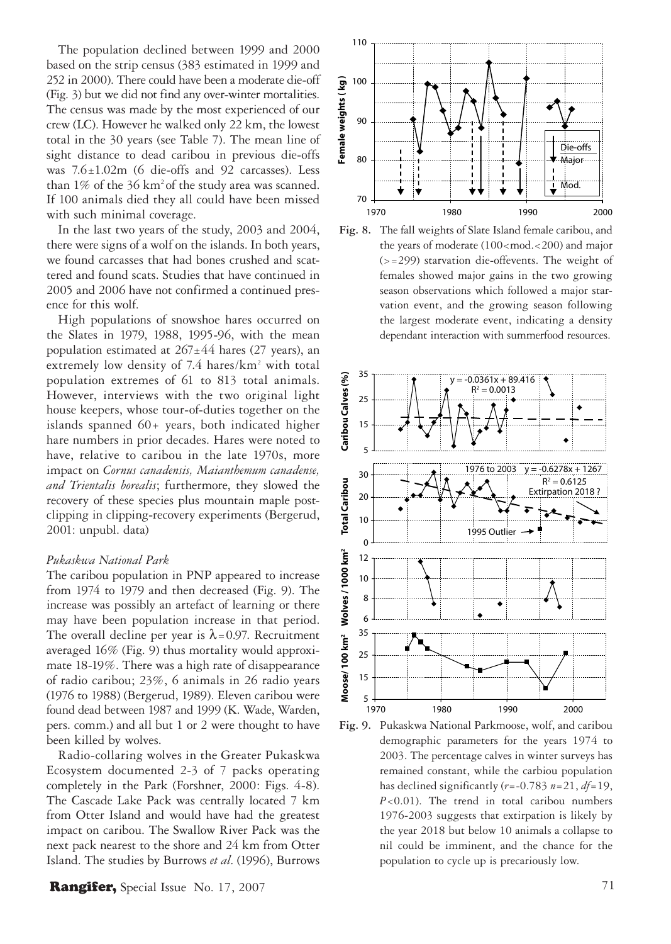The population declined between 1999 and 2000 based on the strip census (383 estimated in 1999 and 252 in 2000). There could have been a moderate die-off (Fig. 3) but we did not find any over-winter mortalities. The census was made by the most experienced of our crew (LC). However he walked only 22 km, the lowest total in the 30 years (see Table 7). The mean line of sight distance to dead caribou in previous die-offs was 7.6±1.02m (6 die-offs and 92 carcasses). Less than  $1\%$  of the 36 km<sup>2</sup> of the study area was scanned. If 100 animals died they all could have been missed with such minimal coverage.

In the last two years of the study, 2003 and 2004, there were signs of a wolf on the islands. In both years, we found carcasses that had bones crushed and scattered and found scats. Studies that have continued in 2005 and 2006 have not confirmed a continued presence for this wolf.

High populations of snowshoe hares occurred on the Slates in 1979, 1988, 1995-96, with the mean population estimated at  $267±44$  hares (27 years), an extremely low density of 7.4 hares/km<sup>2</sup> with total population extremes of 61 to 813 total animals. However, interviews with the two original light house keepers, whose tour-of-duties together on the islands spanned 60+ years, both indicated higher hare numbers in prior decades. Hares were noted to have, relative to caribou in the late 1970s, more impact on *Cornus canadensis, Maianthemum canadense, and Trientalis borealis*; furthermore, they slowed the recovery of these species plus mountain maple postclipping in clipping-recovery experiments (Bergerud, 2001: unpubl. data)

#### *Pukaskwa National Park*

The caribou population in PNP appeared to increase from 1974 to 1979 and then decreased (Fig. 9). The increase was possibly an artefact of learning or there may have been population increase in that period. The overall decline per year is  $\lambda$ =0.97. Recruitment averaged 16% (Fig. 9) thus mortality would approximate 18-19%. There was a high rate of disappearance of radio caribou; 23%, 6 animals in 26 radio years (1976 to 1988) (Bergerud, 1989). Eleven caribou were found dead between 1987 and 1999 (K. Wade, Warden, pers. comm.) and all but 1 or 2 were thought to have been killed by wolves.

Radio-collaring wolves in the Greater Pukaskwa Ecosystem documented 2-3 of 7 packs operating completely in the Park (Forshner, 2000: Figs. 4-8). The Cascade Lake Pack was centrally located 7 km from Otter Island and would have had the greatest impact on caribou. The Swallow River Pack was the next pack nearest to the shore and 24 km from Otter Island. The studies by Burrows *et al*. (1996), Burrows

# Rangifer, Special Issue No. 17, 2007 71







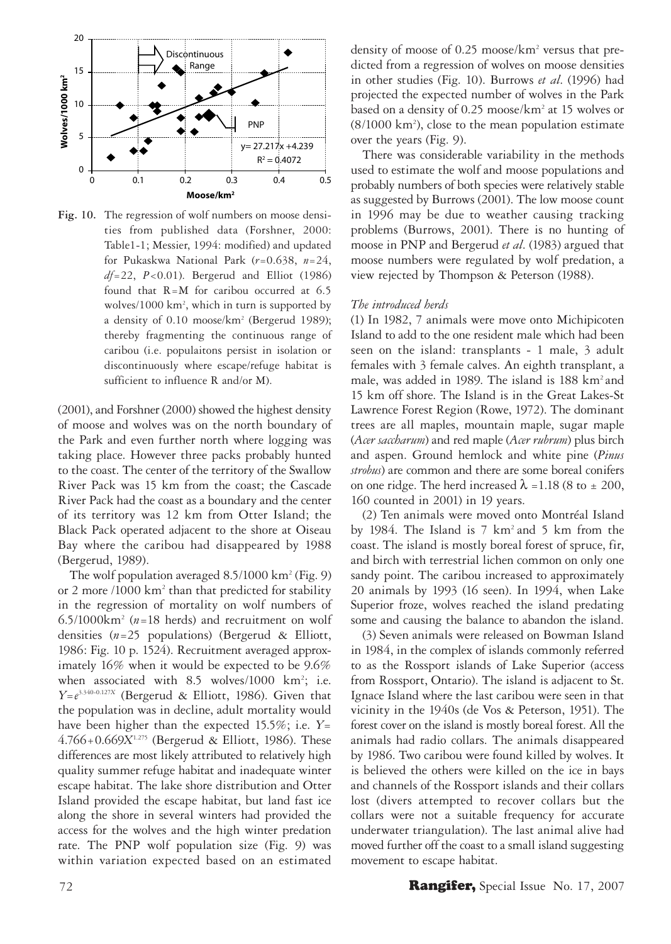

**Fig. 10.** The regression of wolf numbers on moose densities from published data (Forshner, 2000: Table1-1; Messier, 1994: modified) and updated for Pukaskwa National Park (*r*=0.638, *n*=24, *df*=22, *P*<0.01). Bergerud and Elliot (1986) found that R=M for caribou occurred at 6.5 wolves/1000 km2 , which in turn is supported by a density of 0.10 moose/km<sup>2</sup> (Bergerud 1989); thereby fragmenting the continuous range of caribou (i.e. populaitons persist in isolation or discontinuously where escape/refuge habitat is sufficient to influence R and/or M).

(2001), and Forshner (2000) showed the highest density of moose and wolves was on the north boundary of the Park and even further north where logging was taking place. However three packs probably hunted to the coast. The center of the territory of the Swallow River Pack was 15 km from the coast; the Cascade River Pack had the coast as a boundary and the center of its territory was 12 km from Otter Island; the Black Pack operated adjacent to the shore at Oiseau Bay where the caribou had disappeared by 1988 (Bergerud, 1989).

The wolf population averaged 8.5/1000 km<sup>2</sup> (Fig. 9) or 2 more /1000 km<sup>2</sup> than that predicted for stability in the regression of mortality on wolf numbers of  $6.5/1000 \text{km}^2$  ( $n=18$  herds) and recruitment on wolf densities (*n*=25 populations) (Bergerud & Elliott, 1986: Fig. 10 p. 1524). Recruitment averaged approximately 16% when it would be expected to be 9.6% when associated with 8.5 wolves/1000 km<sup>2</sup>; i.e. *Y*=*e* 3.340-0.127*<sup>X</sup>* (Bergerud & Elliott, 1986). Given that the population was in decline, adult mortality would have been higher than the expected 15.5%; i.e. *Y*= 4.766+0.669*X*1.275 (Bergerud & Elliott, 1986). These differences are most likely attributed to relatively high quality summer refuge habitat and inadequate winter escape habitat. The lake shore distribution and Otter Island provided the escape habitat, but land fast ice along the shore in several winters had provided the access for the wolves and the high winter predation rate. The PNP wolf population size (Fig. 9) was within variation expected based on an estimated

density of moose of 0.25 moose/km<sup>2</sup> versus that predicted from a regression of wolves on moose densities in other studies (Fig. 10). Burrows *et al*. (1996) had projected the expected number of wolves in the Park based on a density of 0.25 moose/km<sup>2</sup> at 15 wolves or (8/1000 km2 ), close to the mean population estimate over the years (Fig. 9).

There was considerable variability in the methods used to estimate the wolf and moose populations and probably numbers of both species were relatively stable as suggested by Burrows (2001). The low moose count in 1996 may be due to weather causing tracking problems (Burrows, 2001). There is no hunting of moose in PNP and Bergerud *et al*. (1983) argued that moose numbers were regulated by wolf predation, a view rejected by Thompson & Peterson (1988).

### *The introduced herds*

(1) In 1982, 7 animals were move onto Michipicoten Island to add to the one resident male which had been seen on the island: transplants - 1 male, 3 adult females with 3 female calves. An eighth transplant, a male, was added in 1989. The island is 188 km<sup>2</sup> and 15 km off shore. The Island is in the Great Lakes-St Lawrence Forest Region (Rowe, 1972). The dominant trees are all maples, mountain maple, sugar maple (*Acer saccharum*) and red maple (*Acer rubrum*) plus birch and aspen. Ground hemlock and white pine (*Pinus strobus*) are common and there are some boreal conifers on one ridge. The herd increased  $\lambda$  =1.18 (8 to  $\pm$  200, 160 counted in 2001) in 19 years.

(2) Ten animals were moved onto Montréal Island by 1984. The Island is 7 km2 and 5 km from the coast. The island is mostly boreal forest of spruce, fir, and birch with terrestrial lichen common on only one sandy point. The caribou increased to approximately 20 animals by 1993 (16 seen). In 1994, when Lake Superior froze, wolves reached the island predating some and causing the balance to abandon the island.

(3) Seven animals were released on Bowman Island in 1984, in the complex of islands commonly referred to as the Rossport islands of Lake Superior (access from Rossport, Ontario). The island is adjacent to St. Ignace Island where the last caribou were seen in that vicinity in the 1940s (de Vos & Peterson, 1951). The forest cover on the island is mostly boreal forest. All the animals had radio collars. The animals disappeared by 1986. Two caribou were found killed by wolves. It is believed the others were killed on the ice in bays and channels of the Rossport islands and their collars lost (divers attempted to recover collars but the collars were not a suitable frequency for accurate underwater triangulation). The last animal alive had moved further off the coast to a small island suggesting movement to escape habitat.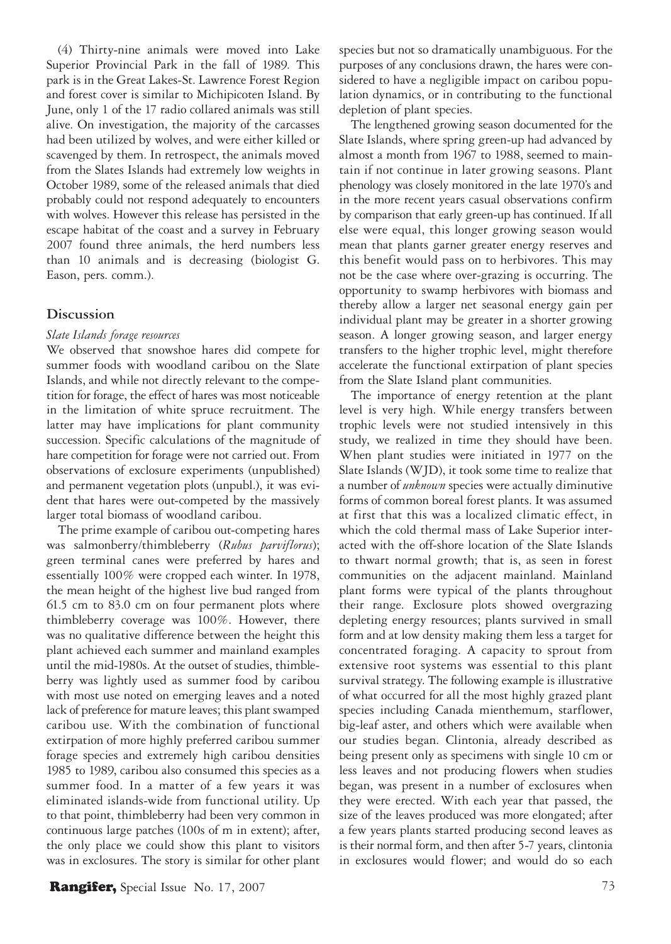(4) Thirty-nine animals were moved into Lake Superior Provincial Park in the fall of 1989. This park is in the Great Lakes-St. Lawrence Forest Region and forest cover is similar to Michipicoten Island. By June, only 1 of the 17 radio collared animals was still alive. On investigation, the majority of the carcasses had been utilized by wolves, and were either killed or scavenged by them. In retrospect, the animals moved from the Slates Islands had extremely low weights in October 1989, some of the released animals that died probably could not respond adequately to encounters with wolves. However this release has persisted in the escape habitat of the coast and a survey in February 2007 found three animals, the herd numbers less than 10 animals and is decreasing (biologist G. Eason, pers. comm.).

### **Discussion**

### *Slate Islands forage resources*

We observed that snowshoe hares did compete for summer foods with woodland caribou on the Slate Islands, and while not directly relevant to the competition for forage, the effect of hares was most noticeable in the limitation of white spruce recruitment. The latter may have implications for plant community succession. Specific calculations of the magnitude of hare competition for forage were not carried out. From observations of exclosure experiments (unpublished) and permanent vegetation plots (unpubl.), it was evident that hares were out-competed by the massively larger total biomass of woodland caribou.

The prime example of caribou out-competing hares was salmonberry/thimbleberry (*Rubus parviflorus*); green terminal canes were preferred by hares and essentially 100% were cropped each winter. In 1978, the mean height of the highest live bud ranged from 61.5 cm to 83.0 cm on four permanent plots where thimbleberry coverage was 100%. However, there was no qualitative difference between the height this plant achieved each summer and mainland examples until the mid-1980s. At the outset of studies, thimbleberry was lightly used as summer food by caribou with most use noted on emerging leaves and a noted lack of preference for mature leaves; this plant swamped caribou use. With the combination of functional extirpation of more highly preferred caribou summer forage species and extremely high caribou densities 1985 to 1989, caribou also consumed this species as a summer food. In a matter of a few years it was eliminated islands-wide from functional utility. Up to that point, thimbleberry had been very common in continuous large patches (100s of m in extent); after, the only place we could show this plant to visitors was in exclosures. The story is similar for other plant species but not so dramatically unambiguous. For the purposes of any conclusions drawn, the hares were considered to have a negligible impact on caribou population dynamics, or in contributing to the functional depletion of plant species.

The lengthened growing season documented for the Slate Islands, where spring green-up had advanced by almost a month from 1967 to 1988, seemed to maintain if not continue in later growing seasons. Plant phenology was closely monitored in the late 1970's and in the more recent years casual observations confirm by comparison that early green-up has continued. If all else were equal, this longer growing season would mean that plants garner greater energy reserves and this benefit would pass on to herbivores. This may not be the case where over-grazing is occurring. The opportunity to swamp herbivores with biomass and thereby allow a larger net seasonal energy gain per individual plant may be greater in a shorter growing season. A longer growing season, and larger energy transfers to the higher trophic level, might therefore accelerate the functional extirpation of plant species from the Slate Island plant communities.

The importance of energy retention at the plant level is very high. While energy transfers between trophic levels were not studied intensively in this study, we realized in time they should have been. When plant studies were initiated in 1977 on the Slate Islands (WJD), it took some time to realize that a number of *unknown* species were actually diminutive forms of common boreal forest plants. It was assumed at first that this was a localized climatic effect, in which the cold thermal mass of Lake Superior interacted with the off-shore location of the Slate Islands to thwart normal growth; that is, as seen in forest communities on the adjacent mainland. Mainland plant forms were typical of the plants throughout their range. Exclosure plots showed overgrazing depleting energy resources; plants survived in small form and at low density making them less a target for concentrated foraging. A capacity to sprout from extensive root systems was essential to this plant survival strategy. The following example is illustrative of what occurred for all the most highly grazed plant species including Canada mienthemum, starflower, big-leaf aster, and others which were available when our studies began. Clintonia, already described as being present only as specimens with single 10 cm or less leaves and not producing flowers when studies began, was present in a number of exclosures when they were erected. With each year that passed, the size of the leaves produced was more elongated; after a few years plants started producing second leaves as is their normal form, and then after 5-7 years, clintonia in exclosures would flower; and would do so each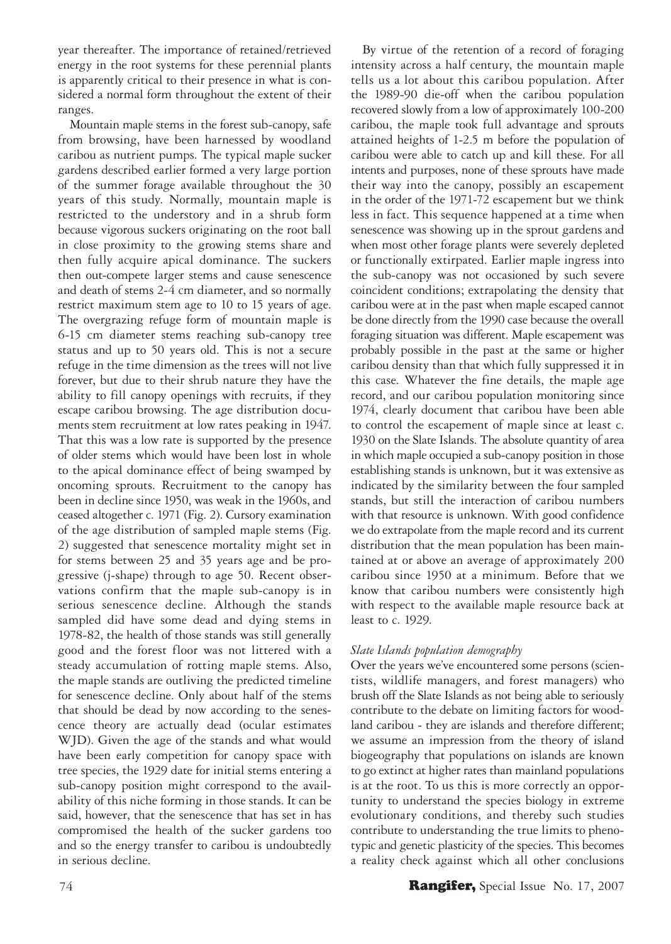year thereafter. The importance of retained/retrieved energy in the root systems for these perennial plants is apparently critical to their presence in what is considered a normal form throughout the extent of their ranges.

Mountain maple stems in the forest sub-canopy, safe from browsing, have been harnessed by woodland caribou as nutrient pumps. The typical maple sucker gardens described earlier formed a very large portion of the summer forage available throughout the 30 years of this study. Normally, mountain maple is restricted to the understory and in a shrub form because vigorous suckers originating on the root ball in close proximity to the growing stems share and then fully acquire apical dominance. The suckers then out-compete larger stems and cause senescence and death of stems 2-4 cm diameter, and so normally restrict maximum stem age to 10 to 15 years of age. The overgrazing refuge form of mountain maple is 6-15 cm diameter stems reaching sub-canopy tree status and up to 50 years old. This is not a secure refuge in the time dimension as the trees will not live forever, but due to their shrub nature they have the ability to fill canopy openings with recruits, if they escape caribou browsing. The age distribution documents stem recruitment at low rates peaking in 1947. That this was a low rate is supported by the presence of older stems which would have been lost in whole to the apical dominance effect of being swamped by oncoming sprouts. Recruitment to the canopy has been in decline since 1950, was weak in the 1960s, and ceased altogether c. 1971 (Fig. 2). Cursory examination of the age distribution of sampled maple stems (Fig. 2) suggested that senescence mortality might set in for stems between 25 and 35 years age and be progressive (j-shape) through to age 50. Recent observations confirm that the maple sub-canopy is in serious senescence decline. Although the stands sampled did have some dead and dying stems in 1978-82, the health of those stands was still generally good and the forest floor was not littered with a steady accumulation of rotting maple stems. Also, the maple stands are outliving the predicted timeline for senescence decline. Only about half of the stems that should be dead by now according to the senescence theory are actually dead (ocular estimates WJD). Given the age of the stands and what would have been early competition for canopy space with tree species, the 1929 date for initial stems entering a sub-canopy position might correspond to the availability of this niche forming in those stands. It can be said, however, that the senescence that has set in has compromised the health of the sucker gardens too and so the energy transfer to caribou is undoubtedly in serious decline.

By virtue of the retention of a record of foraging intensity across a half century, the mountain maple tells us a lot about this caribou population. After the 1989-90 die-off when the caribou population recovered slowly from a low of approximately 100-200 caribou, the maple took full advantage and sprouts attained heights of 1-2.5 m before the population of caribou were able to catch up and kill these. For all intents and purposes, none of these sprouts have made their way into the canopy, possibly an escapement in the order of the 1971-72 escapement but we think less in fact. This sequence happened at a time when senescence was showing up in the sprout gardens and when most other forage plants were severely depleted or functionally extirpated. Earlier maple ingress into the sub-canopy was not occasioned by such severe coincident conditions; extrapolating the density that caribou were at in the past when maple escaped cannot be done directly from the 1990 case because the overall foraging situation was different. Maple escapement was probably possible in the past at the same or higher caribou density than that which fully suppressed it in this case. Whatever the fine details, the maple age record, and our caribou population monitoring since 1974, clearly document that caribou have been able to control the escapement of maple since at least c. 1930 on the Slate Islands. The absolute quantity of area in which maple occupied a sub-canopy position in those establishing stands is unknown, but it was extensive as indicated by the similarity between the four sampled stands, but still the interaction of caribou numbers with that resource is unknown. With good confidence we do extrapolate from the maple record and its current distribution that the mean population has been maintained at or above an average of approximately 200 caribou since 1950 at a minimum. Before that we know that caribou numbers were consistently high with respect to the available maple resource back at least to c. 1929.

## *Slate Islands population demography*

Over the years we've encountered some persons (scientists, wildlife managers, and forest managers) who brush off the Slate Islands as not being able to seriously contribute to the debate on limiting factors for woodland caribou - they are islands and therefore different; we assume an impression from the theory of island biogeography that populations on islands are known to go extinct at higher rates than mainland populations is at the root. To us this is more correctly an opportunity to understand the species biology in extreme evolutionary conditions, and thereby such studies contribute to understanding the true limits to phenotypic and genetic plasticity of the species. This becomes a reality check against which all other conclusions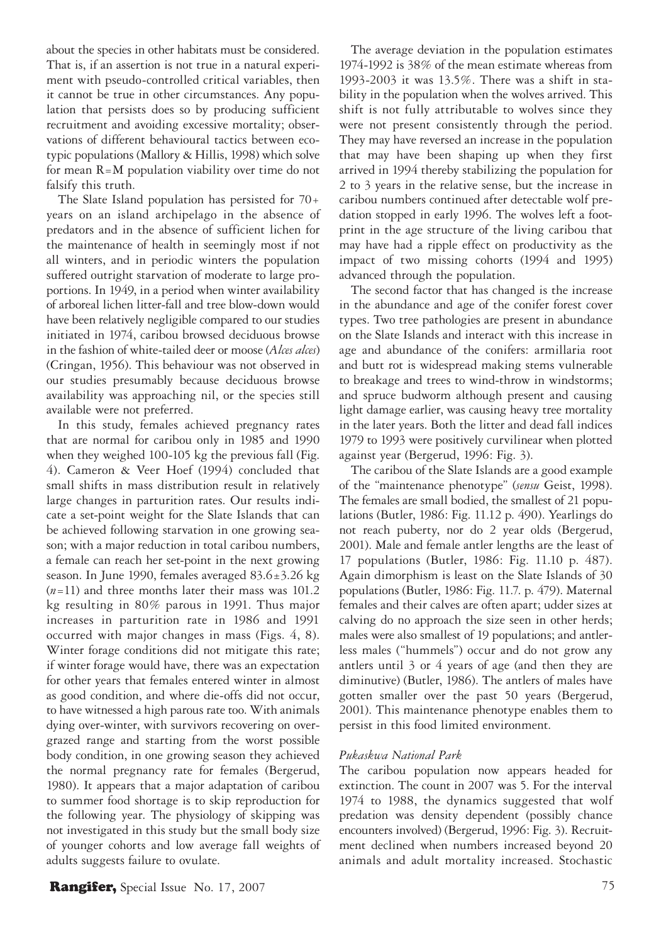about the species in other habitats must be considered. That is, if an assertion is not true in a natural experiment with pseudo-controlled critical variables, then it cannot be true in other circumstances. Any population that persists does so by producing sufficient recruitment and avoiding excessive mortality; observations of different behavioural tactics between ecotypic populations (Mallory & Hillis, 1998) which solve for mean R=M population viability over time do not falsify this truth.

The Slate Island population has persisted for 70+ years on an island archipelago in the absence of predators and in the absence of sufficient lichen for the maintenance of health in seemingly most if not all winters, and in periodic winters the population suffered outright starvation of moderate to large proportions. In 1949, in a period when winter availability of arboreal lichen litter-fall and tree blow-down would have been relatively negligible compared to our studies initiated in 1974, caribou browsed deciduous browse in the fashion of white-tailed deer or moose (*Alces alces*) (Cringan, 1956). This behaviour was not observed in our studies presumably because deciduous browse availability was approaching nil, or the species still available were not preferred.

In this study, females achieved pregnancy rates that are normal for caribou only in 1985 and 1990 when they weighed 100-105 kg the previous fall (Fig. 4). Cameron & Veer Hoef (1994) concluded that small shifts in mass distribution result in relatively large changes in parturition rates. Our results indicate a set-point weight for the Slate Islands that can be achieved following starvation in one growing season; with a major reduction in total caribou numbers, a female can reach her set-point in the next growing season. In June 1990, females averaged 83.6±3.26 kg (*n*=11) and three months later their mass was 101.2 kg resulting in 80% parous in 1991. Thus major increases in parturition rate in 1986 and 1991 occurred with major changes in mass (Figs. 4, 8). Winter forage conditions did not mitigate this rate; if winter forage would have, there was an expectation for other years that females entered winter in almost as good condition, and where die-offs did not occur, to have witnessed a high parous rate too. With animals dying over-winter, with survivors recovering on overgrazed range and starting from the worst possible body condition, in one growing season they achieved the normal pregnancy rate for females (Bergerud, 1980). It appears that a major adaptation of caribou to summer food shortage is to skip reproduction for the following year. The physiology of skipping was not investigated in this study but the small body size of younger cohorts and low average fall weights of adults suggests failure to ovulate.

The average deviation in the population estimates 1974-1992 is 38% of the mean estimate whereas from 1993-2003 it was 13.5%. There was a shift in stability in the population when the wolves arrived. This shift is not fully attributable to wolves since they were not present consistently through the period. They may have reversed an increase in the population that may have been shaping up when they first arrived in 1994 thereby stabilizing the population for 2 to 3 years in the relative sense, but the increase in caribou numbers continued after detectable wolf predation stopped in early 1996. The wolves left a footprint in the age structure of the living caribou that may have had a ripple effect on productivity as the impact of two missing cohorts (1994 and 1995) advanced through the population.

The second factor that has changed is the increase in the abundance and age of the conifer forest cover types. Two tree pathologies are present in abundance on the Slate Islands and interact with this increase in age and abundance of the conifers: armillaria root and butt rot is widespread making stems vulnerable to breakage and trees to wind-throw in windstorms; and spruce budworm although present and causing light damage earlier, was causing heavy tree mortality in the later years. Both the litter and dead fall indices 1979 to 1993 were positively curvilinear when plotted against year (Bergerud, 1996: Fig. 3).

The caribou of the Slate Islands are a good example of the "maintenance phenotype" (*sensu* Geist, 1998). The females are small bodied, the smallest of 21 populations (Butler, 1986: Fig. 11.12 p. 490). Yearlings do not reach puberty, nor do 2 year olds (Bergerud, 2001). Male and female antler lengths are the least of 17 populations (Butler, 1986: Fig. 11.10 p. 487). Again dimorphism is least on the Slate Islands of 30 populations (Butler, 1986: Fig. 11.7. p. 479). Maternal females and their calves are often apart; udder sizes at calving do no approach the size seen in other herds; males were also smallest of 19 populations; and antlerless males ("hummels") occur and do not grow any antlers until 3 or 4 years of age (and then they are diminutive) (Butler, 1986). The antlers of males have gotten smaller over the past 50 years (Bergerud, 2001). This maintenance phenotype enables them to persist in this food limited environment.

#### *Pukaskwa National Park*

The caribou population now appears headed for extinction. The count in 2007 was 5. For the interval 1974 to 1988, the dynamics suggested that wolf predation was density dependent (possibly chance encounters involved) (Bergerud, 1996: Fig. 3). Recruitment declined when numbers increased beyond 20 animals and adult mortality increased. Stochastic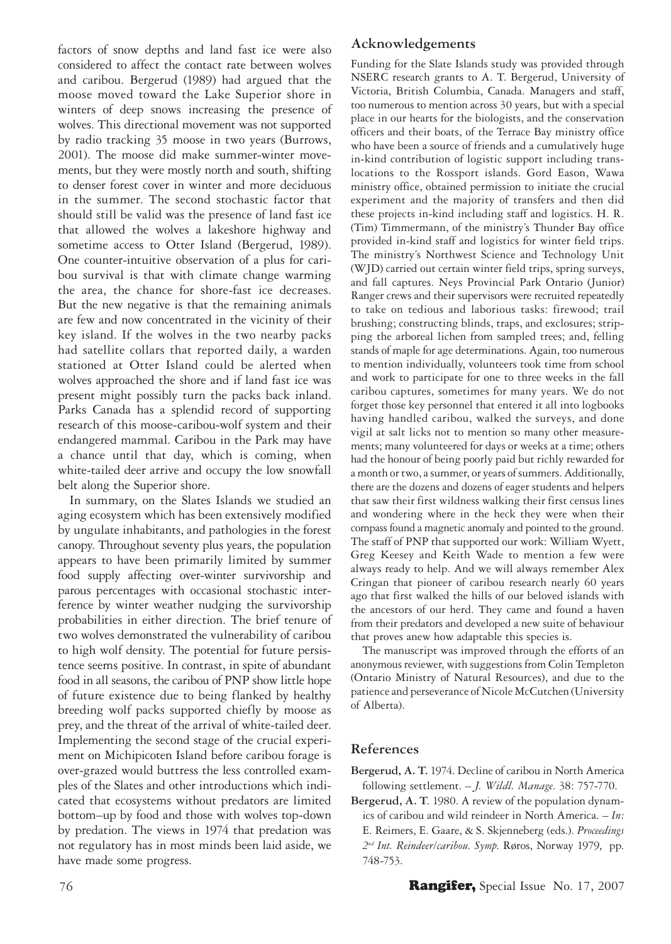factors of snow depths and land fast ice were also considered to affect the contact rate between wolves and caribou. Bergerud (1989) had argued that the moose moved toward the Lake Superior shore in winters of deep snows increasing the presence of wolves. This directional movement was not supported by radio tracking 35 moose in two years (Burrows, 2001). The moose did make summer-winter movements, but they were mostly north and south, shifting to denser forest cover in winter and more deciduous in the summer. The second stochastic factor that should still be valid was the presence of land fast ice that allowed the wolves a lakeshore highway and sometime access to Otter Island (Bergerud, 1989). One counter-intuitive observation of a plus for caribou survival is that with climate change warming the area, the chance for shore-fast ice decreases. But the new negative is that the remaining animals are few and now concentrated in the vicinity of their key island. If the wolves in the two nearby packs had satellite collars that reported daily, a warden stationed at Otter Island could be alerted when wolves approached the shore and if land fast ice was present might possibly turn the packs back inland. Parks Canada has a splendid record of supporting research of this moose-caribou-wolf system and their endangered mammal. Caribou in the Park may have a chance until that day, which is coming, when white-tailed deer arrive and occupy the low snowfall belt along the Superior shore.

In summary, on the Slates Islands we studied an aging ecosystem which has been extensively modified by ungulate inhabitants, and pathologies in the forest canopy. Throughout seventy plus years, the population appears to have been primarily limited by summer food supply affecting over-winter survivorship and parous percentages with occasional stochastic interference by winter weather nudging the survivorship probabilities in either direction. The brief tenure of two wolves demonstrated the vulnerability of caribou to high wolf density. The potential for future persistence seems positive. In contrast, in spite of abundant food in all seasons, the caribou of PNP show little hope of future existence due to being flanked by healthy breeding wolf packs supported chiefly by moose as prey, and the threat of the arrival of white-tailed deer. Implementing the second stage of the crucial experiment on Michipicoten Island before caribou forage is over-grazed would buttress the less controlled examples of the Slates and other introductions which indicated that ecosystems without predators are limited bottom–up by food and those with wolves top-down by predation. The views in 1974 that predation was not regulatory has in most minds been laid aside, we have made some progress.

# **Acknowledgements**

Funding for the Slate Islands study was provided through NSERC research grants to A. T. Bergerud, University of Victoria, British Columbia, Canada. Managers and staff, too numerous to mention across 30 years, but with a special place in our hearts for the biologists, and the conservation officers and their boats, of the Terrace Bay ministry office who have been a source of friends and a cumulatively huge in-kind contribution of logistic support including translocations to the Rossport islands. Gord Eason, Wawa ministry office, obtained permission to initiate the crucial experiment and the majority of transfers and then did these projects in-kind including staff and logistics. H. R. (Tim) Timmermann, of the ministry's Thunder Bay office provided in-kind staff and logistics for winter field trips. The ministry's Northwest Science and Technology Unit (WJD) carried out certain winter field trips, spring surveys, and fall captures. Neys Provincial Park Ontario (Junior) Ranger crews and their supervisors were recruited repeatedly to take on tedious and laborious tasks: firewood; trail brushing; constructing blinds, traps, and exclosures; stripping the arboreal lichen from sampled trees; and, felling stands of maple for age determinations. Again, too numerous to mention individually, volunteers took time from school and work to participate for one to three weeks in the fall caribou captures, sometimes for many years. We do not forget those key personnel that entered it all into logbooks having handled caribou, walked the surveys, and done vigil at salt licks not to mention so many other measurements; many volunteered for days or weeks at a time; others had the honour of being poorly paid but richly rewarded for a month or two, a summer, or years of summers. Additionally, there are the dozens and dozens of eager students and helpers that saw their first wildness walking their first census lines and wondering where in the heck they were when their compass found a magnetic anomaly and pointed to the ground. The staff of PNP that supported our work: William Wyett, Greg Keesey and Keith Wade to mention a few were always ready to help. And we will always remember Alex Cringan that pioneer of caribou research nearly 60 years ago that first walked the hills of our beloved islands with the ancestors of our herd. They came and found a haven from their predators and developed a new suite of behaviour that proves anew how adaptable this species is.

The manuscript was improved through the efforts of an anonymous reviewer, with suggestions from Colin Templeton (Ontario Ministry of Natural Resources), and due to the patience and perseverance of Nicole McCutchen (University of Alberta).

# **References**

- **Bergerud, A. T.** 1974. Decline of caribou in North America following settlement. – *J. Wildl. Manage*. 38: 757-770.
- **Bergerud, A. T**. 1980. A review of the population dynamics of caribou and wild reindeer in North America. – *In:*  E. Reimers, E. Gaare, & S. Skjenneberg (eds.). *Proceedings 2nd Int. Reindeer/caribou. Symp*. Røros, Norway 1979, pp. 748-753.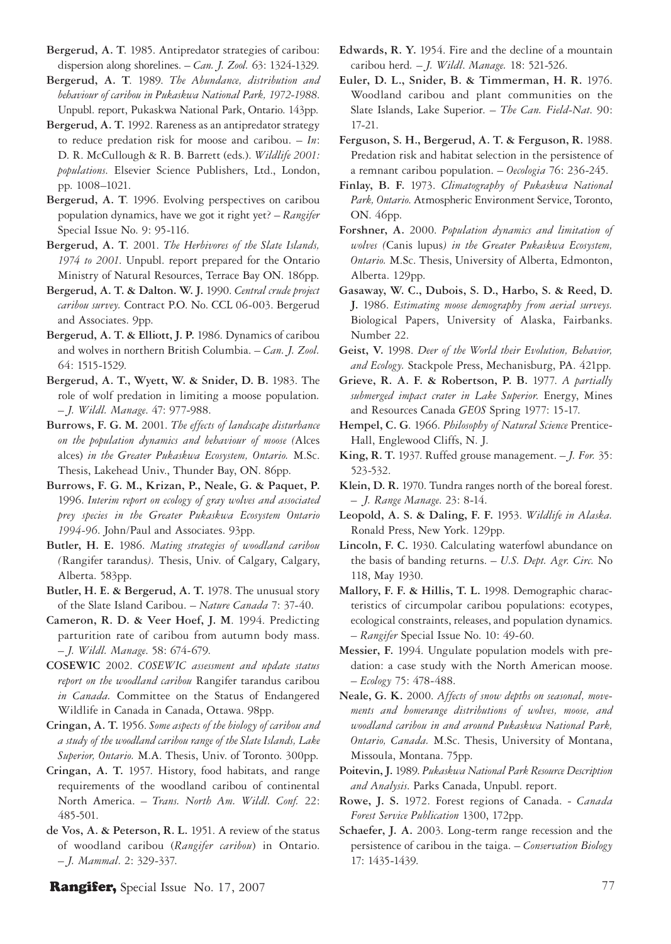**Bergerud, A. T**. 1985. Antipredator strategies of caribou: dispersion along shorelines. – *Can. J. Zool.* 63: 1324-1329.

**Bergerud, A. T**. 1989. *The Abundance, distribution and behaviour of caribou in Pukaskwa National Park, 1972-1988*. Unpubl. report, Pukaskwa National Park, Ontario. 143pp.

**Bergerud, A. T.** 1992. Rareness as an antipredator strategy to reduce predation risk for moose and caribou. – *In*: D. R. McCullough & R. B. Barrett (eds.). *Wildlife 2001: populations*. Elsevier Science Publishers, Ltd., London, pp. 1008–1021.

**Bergerud, A. T**. 1996. Evolving perspectives on caribou population dynamics, have we got it right yet? – *Rangifer*  Special Issue No. 9: 95-116.

**Bergerud, A. T**. 2001. *The Herbivores of the Slate Islands, 1974 to 2001*. Unpubl. report prepared for the Ontario Ministry of Natural Resources, Terrace Bay ON. 186pp.

**Bergerud, A. T. & Dalton. W. J.** 1990. *Central crude project caribou survey.* Contract P.O. No. CCL 06-003. Bergerud and Associates. 9pp.

**Bergerud, A. T. & Elliott, J. P.** 1986. Dynamics of caribou and wolves in northern British Columbia. – *Can. J. Zool.*  64: 1515-1529.

**Bergerud, A. T., Wyett, W. & Snider, D. B.** 1983. The role of wolf predation in limiting a moose population*.*  – *J. Wildl. Manage*. 47: 977-988.

**Burrows, F. G. M.** 2001. *The effects of landscape disturbance on the population dynamics and behaviour of moose (*Alces alces) *in the Greater Pukaskwa Ecosystem, Ontario.* M.Sc. Thesis, Lakehead Univ., Thunder Bay, ON. 86pp.

**Burrows, F. G. M., Krizan, P., Neale, G. & Paquet, P.** 1996. *Interim report on ecology of gray wolves and associated prey species in the Greater Pukaskwa Ecosystem Ontario 1994-96*. John/Paul and Associates. 93pp.

**Butler, H. E.** 1986. *Mating strategies of woodland caribou (*Rangifer tarandus*).* Thesis, Univ. of Calgary, Calgary, Alberta. 583pp.

**Butler, H. E. & Bergerud, A. T.** 1978. The unusual story of the Slate Island Caribou. – *Nature Canada* 7: 37-40.

**Cameron, R. D. & Veer Hoef, J. M**. 1994. Predicting parturition rate of caribou from autumn body mass. – *J. Wildl. Manage*. 58: 674-679.

**COSEWIC** 2002. *COSEWIC assessment and update status report on the woodland caribou* Rangifer tarandus caribou *in Canada.* Committee on the Status of Endangered Wildlife in Canada in Canada, Ottawa. 98pp.

**Cringan, A. T.** 1956. *Some aspects of the biology of caribou and a study of the woodland caribou range of the Slate Islands, Lake Superior, Ontario.* M.A. Thesis, Univ. of Toronto. 300pp.

**Cringan, A. T.** 1957. History, food habitats, and range requirements of the woodland caribou of continental North America. – *Trans. North Am. Wildl. Conf.* 22: 485-501.

**de Vos, A. & Peterson, R. L.** 1951. A review of the status of woodland caribou (*Rangifer caribou*) in Ontario. – *J. Mammal*. 2: 329-337.

**Edwards, R. Y.** 1954. Fire and the decline of a mountain caribou herd*.* – *J. Wildl*. *Manage.* 18: 521-526.

**Euler, D. L., Snider, B. & Timmerman, H. R.** 1976. Woodland caribou and plant communities on the Slate Islands, Lake Superior. – *The Can. Field-Nat*. 90: 17-21.

**Ferguson, S. H., Bergerud, A. T. & Ferguson, R.** 1988. Predation risk and habitat selection in the persistence of a remnant caribou population. – *Oecologia* 76: 236-245.

**Finlay, B. F.** 1973. *Climatography of Pukaskwa National Park, Ontario*. Atmospheric Environment Service, Toronto, ON. 46pp.

**Forshner, A.** 2000. *Population dynamics and limitation of wolves (*Canis lupus*) in the Greater Pukaskwa Ecosystem, Ontario.* M.Sc. Thesis, University of Alberta, Edmonton, Alberta. 129pp.

**Gasaway, W. C., Dubois, S. D., Harbo, S. & Reed, D. J.** 1986. *Estimating moose demography from aerial surveys.* Biological Papers, University of Alaska, Fairbanks. Number 22.

**Geist, V.** 1998. *Deer of the World their Evolution, Behavior, and Ecology.* Stackpole Press, Mechanisburg, PA. 421pp.

**Grieve, R. A. F. & Robertson, P. B.** 1977. *A partially submerged impact crater in Lake Superior*. Energy, Mines and Resources Canada *GEOS* Spring 1977: 15-17.

**Hempel, C. G**. 1966. *Philosophy of Natural Science* Prentice-Hall, Englewood Cliffs, N. J.

**King, R. T.** 1937. Ruffed grouse management. – *J. For.* 35: 523-532.

**Klein, D. R.** 1970. Tundra ranges north of the boreal forest. – *J. Range Manage*. 23: 8-14.

**Leopold, A. S. & Daling, F. F.** 1953. *Wildlife in Alaska.*  Ronald Press, New York. 129pp.

**Lincoln, F. C.** 1930. Calculating waterfowl abundance on the basis of banding returns. – *U.S. Dept. Agr. Circ.* No 118, May 1930.

**Mallory, F. F. & Hillis, T. L.** 1998. Demographic characteristics of circumpolar caribou populations: ecotypes, ecological constraints, releases, and population dynamics. – *Rangifer* Special Issue No. 10: 49-60.

**Messier, F.** 1994. Ungulate population models with predation: a case study with the North American moose. – *Ecology* 75: 478-488.

**Neale, G. K.** 2000. *Affects of snow depths on seasonal, movements and homerange distributions of wolves, moose, and woodland caribou in and around Pukaskwa National Park, Ontario, Canada.* M.Sc. Thesis, University of Montana, Missoula, Montana. 75pp.

**Poitevin, J.** 1989. *Pukaskwa National Park Resource Description and Analysis*. Parks Canada, Unpubl. report.

**Rowe, J. S.** 1972. Forest regions of Canada. - *Canada Forest Service Publication* 1300, 172pp.

**Schaefer, J. A.** 2003. Long-term range recession and the persistence of caribou in the taiga. – *Conservation Biology* 17: 1435-1439.

Rangifer, Special Issue No. 17, 2007